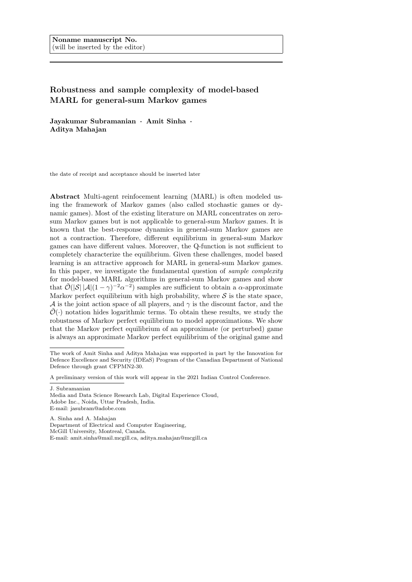# Robustness and sample complexity of model-based MARL for general-sum Markov games

Jayakumar Subramanian · Amit Sinha · Aditya Mahajan

the date of receipt and acceptance should be inserted later

Abstract Multi-agent reinfocement learning (MARL) is often modeled using the framework of Markov games (also called stochastic games or dynamic games). Most of the existing literature on MARL concentrates on zerosum Markov games but is not applicable to general-sum Markov games. It is known that the best-response dynamics in general-sum Markov games are not a contraction. Therefore, different equilibrium in general-sum Markov games can have different values. Moreover, the Q-function is not sufficient to completely characterize the equilibrium. Given these challenges, model based learning is an attractive approach for MARL in general-sum Markov games. In this paper, we investigate the fundamental question of *sample complexity* for model-based MARL algorithms in general-sum Markov games and show that  $\tilde{\mathcal{O}}(|\mathcal{S}| |\mathcal{A}| (1-\gamma)^{-2} \alpha^{-2})$  samples are sufficient to obtain a  $\alpha$ -approximate Markov perfect equilibrium with high probability, where  $S$  is the state space, A is the joint action space of all players, and  $\gamma$  is the discount factor, and the  $\mathcal{O}(\cdot)$  notation hides logarithmic terms. To obtain these results, we study the robustness of Markov perfect equilibrium to model approximations. We show that the Markov perfect equilibrium of an approximate (or perturbed) game is always an approximate Markov perfect equilibrium of the original game and

A preliminary version of this work will appear in the 2021 Indian Control Conference.

J. Subramanian

Department of Electrical and Computer Engineering, McGill University, Montreal, Canada. E-mail: amit.sinha@mail.mcgill.ca, aditya.mahajan@mcgill.ca

The work of Amit Sinha and Aditya Mahajan was supported in part by the Innovation for Defence Excellence and Security (IDEaS) Program of the Canadian Department of National Defence through grant CFPMN2-30.

Media and Data Science Research Lab, Digital Experience Cloud, Adobe Inc., Noida, Uttar Pradesh, India. E-mail: jasubram@adobe.com

A. Sinha and A. Mahajan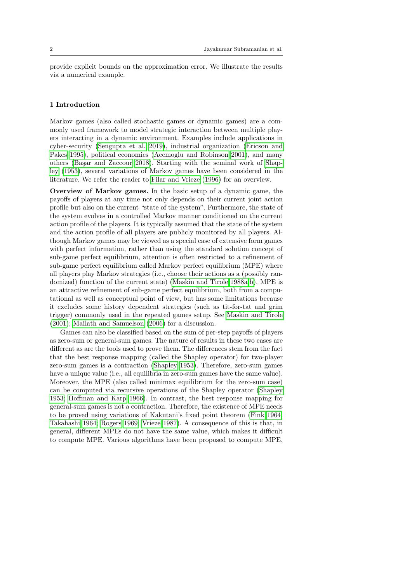provide explicit bounds on the approximation error. We illustrate the results via a numerical example.

## 1 Introduction

Markov games (also called stochastic games or dynamic games) are a commonly used framework to model strategic interaction between multiple players interacting in a dynamic environment. Examples include applications in cyber-security [\(Sengupta et al. 2019\)](#page-28-0), industrial organization [\(Ericson and](#page-27-0) [Pakes 1995\)](#page-27-0), political economics [\(Acemoglu and Robinson 2001\)](#page-26-0), and many others (Başar and Zaccour 2018). Starting with the seminal work of [Shap](#page-28-1)[ley](#page-28-1) [\(1953\)](#page-28-1), several variations of Markov games have been considered in the literature. We refer the reader to [Filar and Vrieze](#page-27-2) [\(1996\)](#page-27-2) for an overview.

Overview of Markov games. In the basic setup of a dynamic game, the payoffs of players at any time not only depends on their current joint action profile but also on the current "state of the system". Furthermore, the state of the system evolves in a controlled Markov manner conditioned on the current action profile of the players. It is typically assumed that the state of the system and the action profile of all players are publicly monitored by all players. Although Markov games may be viewed as a special case of extensive form games with perfect information, rather than using the standard solution concept of sub-game perfect equilibrium, attention is often restricted to a refinement of sub-game perfect equilibrium called Markov perfect equilibrium (MPE) where all players play Markov strategies (i.e., choose their actions as a (possibly randomized) function of the current state) [\(Maskin and Tirole 1988a,](#page-27-3)[b\)](#page-27-4). MPE is an attractive refinement of sub-game perfect equilibrium, both from a computational as well as conceptual point of view, but has some limitations because it excludes some history dependent strategies (such as tit-for-tat and grim trigger) commonly used in the repeated games setup. See [Maskin and Tirole](#page-28-2) [\(2001\)](#page-28-2); [Mailath and Samuelson](#page-27-5) [\(2006\)](#page-27-5) for a discussion.

Games can also be classified based on the sum of per-step payoffs of players as zero-sum or general-sum games. The nature of results in these two cases are different as are the tools used to prove them. The differences stem from the fact that the best response mapping (called the Shapley operator) for two-player zero-sum games is a contraction [\(Shapley 1953\)](#page-28-1). Therefore, zero-sum games have a unique value (i.e., all equilibria in zero-sum games have the same value). Moreover, the MPE (also called minimax equilibrium for the zero-sum case) can be computed via recursive operations of the Shapley operator [\(Shapley](#page-28-1) [1953;](#page-28-1) [Hoffman and Karp 1966\)](#page-27-6). In contrast, the best response mapping for general-sum games is not a contraction. Therefore, the existence of MPE needs to be proved using variations of Kakutani's fixed point theorem [\(Fink 1964;](#page-27-7) [Takahashi 1964;](#page-28-3) [Rogers 1969;](#page-28-4) [Vrieze 1987\)](#page-28-5). A consequence of this is that, in general, different MPEs do not have the same value, which makes it difficult to compute MPE. Various algorithms have been proposed to compute MPE,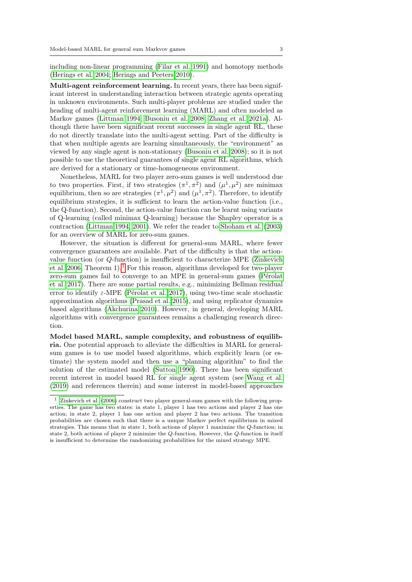including non-linear programming [\(Filar et al. 1991\)](#page-27-8) and homotopy methods [\(Herings et al. 2004;](#page-27-9) [Herings and Peeters 2010\)](#page-27-10).

Multi-agent reinforcement learning. In recent years, there has been significant interest in understanding interaction between strategic agents operating in unknown environments. Such multi-player problems are studied under the heading of multi-agent reinforcement learning (MARL) and often modeled as Markov games [\(Littman 1994;](#page-27-11) [Busoniu et al. 2008;](#page-27-12) [Zhang et al. 2021a\)](#page-28-6). Although there have been significant recent successes in single agent RL, these do not directly translate into the multi-agent setting. Part of the difficulty is that when multiple agents are learning simultaneously, the "environment" as viewed by any single agent is non-stationary [\(Busoniu et al. 2008\)](#page-27-12); so it is not possible to use the theoretical guarantees of single agent RL algorithms, which are derived for a stationary or time-homogeneous environment.

Nonetheless, MARL for two player zero-sum games is well understood due to two properties. First, if two strategies  $(\pi^1, \pi^2)$  and  $(\mu^1, \mu^2)$  are minimax equilibrium, then so are strategies  $(\pi^1, \mu^2)$  and  $(\mu^1, \pi^2)$ . Therefore, to identify equilibrium strategies, it is sufficient to learn the action-value function (i.e., the Q-function). Second, the action-value function can be learnt using variants of Q-learning (called minimax Q-learning) because the Shapley operator is a contraction [\(Littman 1994,](#page-27-11) [2001\)](#page-27-13). We refer the reader to [Shoham et al.](#page-28-7) [\(2003\)](#page-28-7) for an overview of MARL for zero-sum games.

However, the situation is different for general-sum MARL, where fewer convergence guarantees are available. Part of the difficulty is that the actionvalue function (or Q-function) is insufficient to characterize MPE [\(Zinkevich](#page-29-0) [et al. 2006,](#page-29-0) Theorem  $1$ .<sup>1</sup> For this reason, algorithms developed for two-player zero-sum games fail to converge to an MPE in general-sum games (Pérolat [et al. 2017\)](#page-28-8). There are some partial results, e.g., minimizing Bellman residual error to identify  $\varepsilon$ -MPE (Pérolat et al. 2017), using two-time scale stochastic approximation algorithms [\(Prasad et al. 2015\)](#page-28-9), and using replicator dynamics based algorithms [\(Akchurina 2010\)](#page-27-14). However, in general, developing MARL algorithms with convergence guarantees remains a challenging research direction.

Model based MARL, sample complexity, and robustness of equilibria. One potential approach to alleviate the difficulties in MARL for generalsum games is to use model based algorithms, which explicitly learn (or estimate) the system model and then use a "planning algorithm" to find the solution of the estimated model [\(Sutton 1990\)](#page-28-10). There has been significant recent interest in model based RL for single agent system (see [Wang et al.](#page-28-11) [\(2019\)](#page-28-11) and references therein) and some interest in model-based approaches

<span id="page-2-0"></span>[Zinkevich et al.](#page-29-0) [\(2006\)](#page-29-0) construct two player general-sum games with the following properties. The game has two states: in state 1, player 1 has two actions and player 2 has one action; in state 2, player 1 has one action and player 2 has two actions. The transition probabilities are chosen such that there is a unique Markov perfect equilibrium in mixed strategies. This means that in state 1, both actions of player 1 maximize the Q-function; in state 2, both actions of player 2 minimize the Q-function. However, the Q-function in itself is insufficient to determine the randomizing probabilities for the mixed strategy MPE.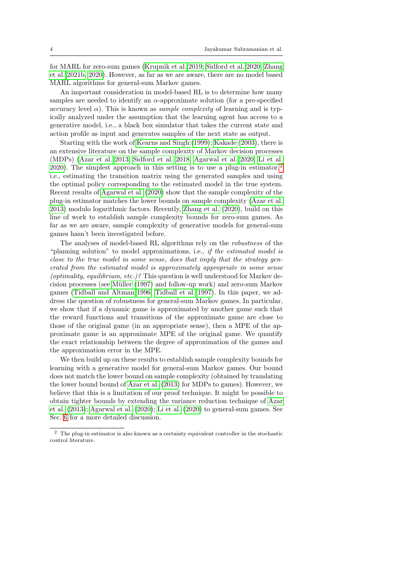for MARL for zero-sum games [\(Krupnik et al. 2019;](#page-27-15) [Sidford et al. 2020;](#page-28-12) [Zhang](#page-29-1) [et al. 2021b,](#page-29-1) [2020\)](#page-28-13). However, as far as we are aware, there are no model based MARL algorithms for general-sum Markov games.

An important consideration in model-based RL is to determine how many samples are needed to identify an  $\alpha$ -approximate solution (for a pre-specified accuracy level  $\alpha$ ). This is known as *sample complexity* of learning and is typically analyzed under the assumption that the learning agent has access to a generative model, i.e., a black box simulator that takes the current state and action profile as input and generates samples of the next state as output.

Starting with the work of [Kearns and Singh](#page-27-16) [\(1999\)](#page-27-16); [Kakade](#page-27-17) [\(2003\)](#page-27-17), there is an extensive literature on the sample complexity of Markov decision processes (MDPs) [\(Azar et al. 2013;](#page-27-18) [Sidford et al. 2018;](#page-28-14) [Agarwal et al. 2020;](#page-26-1) [Li et al.](#page-27-19) [2020\)](#page-27-19). The simplest approach in this setting is to use a plug-in estimator,<sup>[2](#page-3-0)</sup> i.e., estimating the transition matrix using the generated samples and using the optimal policy corresponding to the estimated model in the true system. Recent results of [Agarwal et al.](#page-26-1) [\(2020\)](#page-26-1) show that the sample complexity of the plug-in estimator matches the lower bounds on sample complexity [\(Azar et al.](#page-27-18) [2013\)](#page-27-18) modulo logarithmic factors. Recently, [Zhang et al.](#page-28-13) [\(2020\)](#page-28-13), build on this line of work to establish sample complexity bounds for zero-sum games. As far as we are aware, sample complexity of generative models for general-sum games hasn't been investigated before.

The analyses of model-based RL algorithms rely on the robustness of the "planning solution" to model approximations, i.e., if the estimated model is close to the true model in some sense, does that imply that the strategy generated from the estimated model is approximately appropriate in some sense (optimality, equilibrium, etc.)? This question is well understood for Markov de-cision processes (see Müller [\(1997\)](#page-28-15) and follow-up work) and zero-sum Markov games [\(Tidball and Altman 1996;](#page-28-16) [Tidball et al. 1997\)](#page-28-17). In this paper, we address the question of robustness for general-sum Markov games. In particular, we show that if a dynamic game is approximated by another game such that the reward functions and transitions of the approximate game are close to those of the original game (in an appropriate sense), then a MPE of the approximate game is an approximate MPE of the original game. We quantify the exact relationship between the degree of approximation of the games and the approximation error in the MPE.

We then build up on these results to establish sample complexity bounds for learning with a generative model for general-sum Markov games. Our bound does not match the lower bound on sample complexity (obtained by translating the lower bound bound of [Azar et al.](#page-27-18) [\(2013\)](#page-27-18) for MDPs to games). However, we believe that this is a limitation of our proof technique. It might be possible to obtain tighter bounds by extending the variance reduction technique of [Azar](#page-27-18) [et al.](#page-27-18) [\(2013\)](#page-27-18); [Agarwal et al.](#page-26-1) [\(2020\)](#page-26-1); [Li et al.](#page-27-19) [\(2020\)](#page-27-19) to general-sum games. See Sec. [6](#page-23-0) for a more detailed discussion.

<span id="page-3-0"></span> $^{\rm 2}$  The plug-in estimator is also known as a certainty equivalent controller in the stochastic control literature.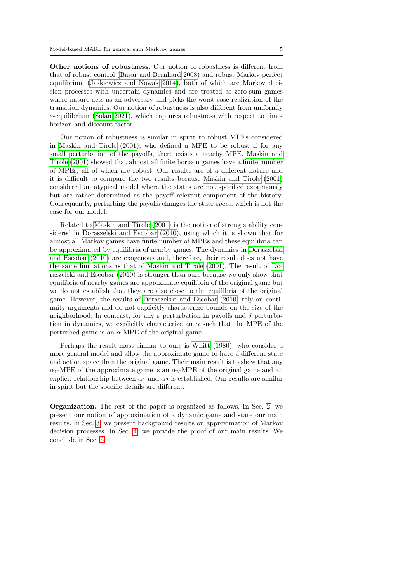Other notions of robustness. Our notion of robustness is different from that of robust control (Başar and Bernhard 2008) and robust Markov perfect equilibrium (Jaskiewicz and Nowak  $2014$ ), both of which are Markov decision processes with uncertain dynamics and are treated as zero-sum games where nature acts as an adversary and picks the worst-case realization of the transition dynamics. Our notion of robustness is also different from uniformly  $\varepsilon$ -equilibrium [\(Solan 2021\)](#page-28-18), which captures robustness with respect to timehorizon and discount factor.

Our notion of robustness is similar in spirit to robust MPEs considered in [Maskin and Tirole](#page-28-2) [\(2001\)](#page-28-2), who defined a MPE to be robust if for any small perturbation of the payoffs, there exists a nearby MPE. [Maskin and](#page-28-2) [Tirole](#page-28-2) [\(2001\)](#page-28-2) showed that almost all finite horizon games have a finite number of MPEs, all of which are robust. Our results are of a different nature and it is difficult to compare the two results because [Maskin and Tirole](#page-28-2) [\(2001\)](#page-28-2) considered an atypical model where the states are not specified exogenously but are rather determined as the payoff relevant component of the history. Consequently, perturbing the payoffs changes the state space, which is not the case for our model.

Related to [Maskin and Tirole](#page-28-2) [\(2001\)](#page-28-2) is the notion of strong stability considered in [Doraszelski and Escobar](#page-27-22) [\(2010\)](#page-27-22), using which it is shown that for almost all Markov games have finite number of MPEs and these equilibria can be approximated by equilibria of nearby games. The dynamics in [Doraszelski](#page-27-22) [and Escobar](#page-27-22) [\(2010\)](#page-27-22) are exogenous and, therefore, their result does not have the same limitations as that of [Maskin and Tirole](#page-28-2) [\(2001\)](#page-28-2). The result of [Do](#page-27-22)[raszelski and Escobar](#page-27-22) [\(2010\)](#page-27-22) is stronger than ours because we only show that equilibria of nearby games are approximate equilibria of the original game but we do not establish that they are also close to the equilibria of the original game. However, the results of [Doraszelski and Escobar](#page-27-22) [\(2010\)](#page-27-22) rely on continuity arguments and do not explicitly characterize bounds on the size of the neighborhood. In contrast, for any  $\varepsilon$  perturbation in payoffs and  $\delta$  perturbation in dynamics, we explicitly characterize an  $\alpha$  such that the MPE of the perturbed game is an  $\alpha$ -MPE of the original game.

Perhaps the result most similar to ours is [Whitt](#page-28-19) [\(1980\)](#page-28-19), who consider a more general model and allow the approximate game to have a different state and action space than the original game. Their main result is to show that any  $\alpha_1$ -MPE of the approximate game is an  $\alpha_2$ -MPE of the original game and an explicit relationship between  $\alpha_1$  and  $\alpha_2$  is established. Our results are similar in spirit but the specific details are different.

Organization. The rest of the paper is organized as follows. In Sec. [2,](#page-5-0) we present our notion of approximation of a dynamic game and state our main results. In Sec. [3,](#page-10-0) we present background results on approximation of Markov decision processes. In Sec. [4,](#page-16-0) we provide the proof of our main results. We conclude in Sec. [6.](#page-23-0)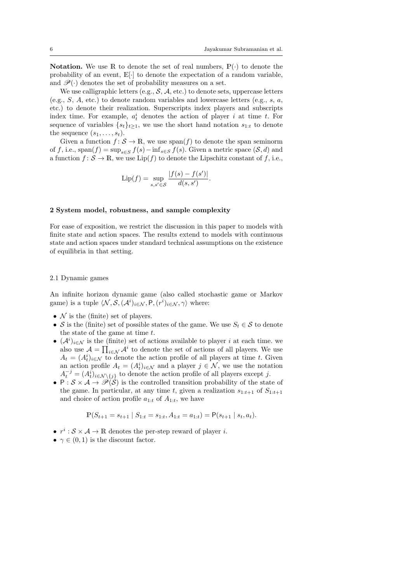**Notation.** We use R to denote the set of real numbers,  $\mathbb{P}(\cdot)$  to denote the probability of an event,  $\mathbb{E}[\cdot]$  to denote the expectation of a random variable, and  $\mathscr{P}(\cdot)$  denotes the set of probability measures on a set.

We use calligraphic letters (e.g.,  $S$ ,  $A$ , etc.) to denote sets, uppercase letters (e.g.,  $S$ ,  $A$ , etc.) to denote random variables and lowercase letters (e.g.,  $s$ ,  $a$ , etc.) to denote their realization. Superscripts index players and subscripts index time. For example,  $a_t^i$  denotes the action of player i at time t. For sequence of variables  $\{s_t\}_{t>1}$ , we use the short hand notation  $s_{1:t}$  to denote the sequence  $(s_1, \ldots, s_t)$ .

Given a function  $f: \mathcal{S} \to \mathbb{R}$ , we use  $\text{span}(f)$  to denote the span seminorm of f, i.e., span $(f) = \sup_{s \in S} f(s) - \inf_{s \in S} f(s)$ . Given a metric space  $(S, d)$  and a function  $f: \mathcal{S} \to \mathbb{R}$ , we use  $\text{Lip}(f)$  to denote the Lipschitz constant of f, i.e.,

$$
\text{Lip}(f) = \sup_{s, s' \in \mathcal{S}} \frac{|f(s) - f(s')|}{d(s, s')}.
$$

#### <span id="page-5-0"></span>2 System model, robustness, and sample complexity

For ease of exposition, we restrict the discussion in this paper to models with finite state and action spaces. The results extend to models with continuous state and action spaces under standard technical assumptions on the existence of equilibria in that setting.

## 2.1 Dynamic games

An infinite horizon dynamic game (also called stochastic game or Markov game) is a tuple  $\langle \mathcal{N}, \mathcal{S},(\mathcal{A}^i)_{i \in \mathcal{N}}, \mathsf{P},(r^i)_{i \in \mathcal{N}}, \gamma \rangle$  where:

- $\mathcal N$  is the (finite) set of players.
- S is the (finite) set of possible states of the game. We use  $S_t \in \mathcal{S}$  to denote the state of the game at time  $t$ .
- $(\mathcal{A}^i)_{i \in \mathcal{N}}$  is the (finite) set of actions available to player i at each time. we also use  $\mathcal{A} = \prod_{i \in \mathcal{N}} \mathcal{A}^i$  to denote the set of actions of all players. We use  $A_t = (A_t^i)_{i \in \mathcal{N}}$  to denote the action profile of all players at time t. Given an action profile  $A_t = (A_t^i)_{i \in \mathcal{N}}$  and a player  $j \in \mathcal{N}$ , we use the notation  $A_t^{-j} = (A_t^i)_{i \in \mathcal{N} \setminus \{j\}}$  to denote the action profile of all players except j.
- P:  $S \times A \rightarrow \mathcal{P}(\mathcal{S})$  is the controlled transition probability of the state of the game. In particular, at any time t, given a realization  $s_{1:t+1}$  of  $S_{1:t+1}$ and choice of action profile  $a_{1:t}$  of  $A_{1:t}$ , we have

$$
\mathbb{P}(S_{t+1} = s_{t+1} | S_{1:t} = s_{1:t}, A_{1:t} = a_{1:t}) = \mathsf{P}(s_{t+1} | s_t, a_t).
$$

- $r^i : \mathcal{S} \times \mathcal{A} \to \mathbb{R}$  denotes the per-step reward of player *i*.
- $\gamma \in (0, 1)$  is the discount factor.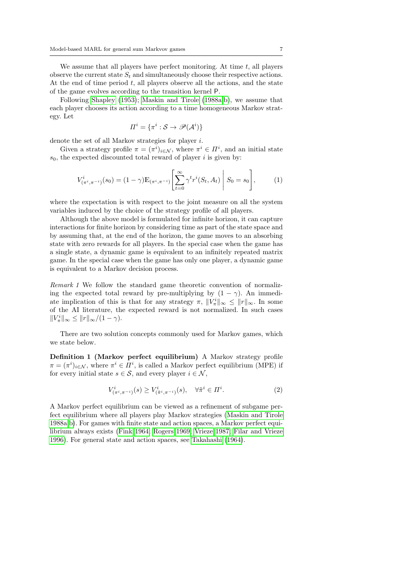We assume that all players have perfect monitoring. At time  $t$ , all players observe the current state  $S_t$  and simultaneously choose their respective actions. At the end of time period  $t$ , all players observe all the actions, and the state of the game evolves according to the transition kernel P.

Following [Shapley](#page-28-1) [\(1953\)](#page-28-1); [Maskin and Tirole](#page-27-3) [\(1988a](#page-27-3)[,b\)](#page-27-4), we assume that each player chooses its action according to a time homogeneous Markov strategy. Let

$$
\Pi^i = \{\pi^i: \mathcal{S} \rightarrow \mathscr{P}(\mathcal{A}^i)\}
$$

denote the set of all Markov strategies for player i.

Given a strategy profile  $\pi = (\pi^i)_{i \in \mathcal{N}}$ , where  $\pi^i \in \Pi^i$ , and an initial state  $s_0$ , the expected discounted total reward of player i is given by:

$$
V_{(\pi^i, \pi^{-i})}^i(s_0) = (1 - \gamma) \mathbb{E}_{(\pi^i, \pi^{-i})} \left[ \sum_{t=0}^{\infty} \gamma^t r^i(S_t, A_t) \middle| S_0 = s_0 \right], \tag{1}
$$

where the expectation is with respect to the joint measure on all the system variables induced by the choice of the strategy profile of all players.

Although the above model is formulated for infinite horizon, it can capture interactions for finite horizon by considering time as part of the state space and by assuming that, at the end of the horizon, the game moves to an absorbing state with zero rewards for all players. In the special case when the game has a single state, a dynamic game is equivalent to an infinitely repeated matrix game. In the special case when the game has only one player, a dynamic game is equivalent to a Markov decision process.

<span id="page-6-0"></span>Remark 1 We follow the standard game theoretic convention of normalizing the expected total reward by pre-multiplying by  $(1 - \gamma)$ . An immediate implication of this is that for any strategy  $\pi$ ,  $||V^i_{\pi}||_{\infty} \leq ||r||_{\infty}$ . In some of the AI literature, the expected reward is not normalized. In such cases  $||V^i_{\pi}||_{\infty} \leq ||r||_{\infty}/(1-\gamma).$ 

There are two solution concepts commonly used for Markov games, which we state below.

Definition 1 (Markov perfect equilibrium) A Markov strategy profile  $\pi = (\pi^i)_{i \in \mathcal{N}}$ , where  $\pi^i \in \Pi^i$ , is called a Markov perfect equilibrium (MPE) if for every initial state  $s \in \mathcal{S}$ , and every player  $i \in \mathcal{N}$ ,

$$
V_{(\pi^i, \pi^{-i})}^i(s) \ge V_{(\tilde{\pi}^i, \pi^{-i})}^i(s), \quad \forall \tilde{\pi}^i \in \Pi^i. \tag{2}
$$

A Markov perfect equilibrium can be viewed as a refinement of subgame perfect equilibrium where all players play Markov strategies [\(Maskin and Tirole](#page-27-3) [1988a,](#page-27-3)[b\)](#page-27-4). For games with finite state and action spaces, a Markov perfect equilibrium always exists [\(Fink 1964;](#page-27-7) [Rogers 1969;](#page-28-4) [Vrieze 1987;](#page-28-5) [Filar and Vrieze](#page-27-2) [1996\)](#page-27-2). For general state and action spaces, see [Takahashi](#page-28-3) [\(1964\)](#page-28-3).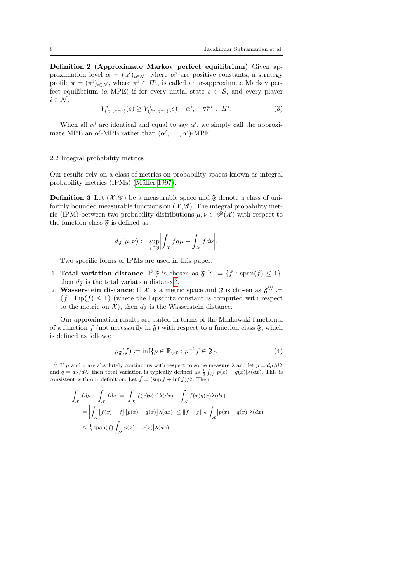Definition 2 (Approximate Markov perfect equilibrium) Given approximation level  $\alpha = (\alpha^i)_{i \in \mathcal{N}}$ , where  $\alpha^i$  are positive constants, a strategy profile  $\pi = (\pi^i)_{i \in \mathcal{N}}$ , where  $\pi^i \in \Pi^i$ , is called an  $\alpha$ -approximate Markov perfect equilibrium ( $\alpha$ -MPE) if for every initial state  $s \in \mathcal{S}$ , and every player  $i \in \mathcal{N}$ ,

$$
V^i_{(\pi^i, \pi^{-i})}(s) \ge V^i_{(\tilde{\pi}^i, \pi^{-i})}(s) - \alpha^i, \quad \forall \tilde{\pi}^i \in \Pi^i.
$$
 (3)

When all  $\alpha^i$  are identical and equal to say  $\alpha'$ , we simply call the approximate MPE an  $\alpha'$ -MPE rather than  $(\alpha', \ldots, \alpha')$ -MPE.

#### 2.2 Integral probability metrics

Our results rely on a class of metrics on probability spaces known as integral probability metrics (IPMs) (Müller 1997).

<span id="page-7-1"></span>**Definition 3** Let  $(\mathcal{X}, \mathcal{G})$  be a measurable space and  $\mathfrak{F}$  denote a class of uniformly bounded measurable functions on  $(\mathcal{X}, \mathcal{G})$ . The integral probability metric (IPM) between two probability distributions  $\mu, \nu \in \mathcal{P}(\mathcal{X})$  with respect to the function class  $\mathfrak{F}$  is defined as

$$
d_{\mathfrak{F}}(\mu,\nu) := \sup_{f \in \mathfrak{F}} \left| \int_{\mathcal{X}} f d\mu - \int_{\mathcal{X}} f d\nu \right|.
$$

Two specific forms of IPMs are used in this paper:

- 1. Total variation distance: If  $\mathfrak{F}$  is chosen as  $\mathfrak{F}^{\text{TV}} \coloneqq \{f : \text{span}(f) \leq 1\},\$ then  $d_{\mathfrak{F}}$  is the total variation distance<sup>[3](#page-7-0)</sup>.
- 2. Wasserstein distance: If X is a metric space and  $\mathfrak{F}$  is chosen as  $\mathfrak{F}^W$  :=  ${f : Lip(f) \leq 1}$  (where the Lipschitz constant is computed with respect to the metric on  $\mathcal{X}$ ), then  $d_{\mathfrak{F}}$  is the Wasserstein distance.

Our approximation results are stated in terms of the Minkowski functional of a function f (not necessarily in  $\mathfrak{F}$ ) with respect to a function class  $\mathfrak{F}$ , which is defined as follows:

$$
\rho_{\mathfrak{F}}(f) := \inf \{ \rho \in \mathbb{R}_{>0} : \rho^{-1} f \in \mathfrak{F} \}.
$$
 (4)

<span id="page-7-0"></span><sup>3</sup> If  $\mu$  and  $\nu$  are absolutely continuous with respect to some measure  $\lambda$  and let  $p = d\mu/d\lambda$ and  $q = d\nu/d\lambda$ , then total variation is typically defined as  $\frac{1}{2} \int_{\mathcal{X}} |p(x) - q(x)| \lambda(dx)$ . This is consistent with our definition. Let  $\bar{f} = (\sup f + \inf f)/2$ . Then

$$
\left| \int_{\mathcal{X}} f d\mu - \int_{\mathcal{X}} f d\nu \right| = \left| \int_{\mathcal{X}} f(x) p(x) \lambda(dx) - \int_{\mathcal{X}} f(x) q(x) \lambda(dx) \right|
$$
  
= 
$$
\left| \int_{\mathcal{X}} \left[ f(x) - \bar{f} \right] \left[ p(x) - q(x) \right] \lambda(dx) \right| \leq ||f - \bar{f}||_{\infty} \int_{\mathcal{X}} |p(x) - q(x)| \lambda(dx)
$$
  

$$
\leq \frac{1}{2} \operatorname{span}(f) \int_{\mathcal{X}} |p(x) - q(x)| \lambda(dx).
$$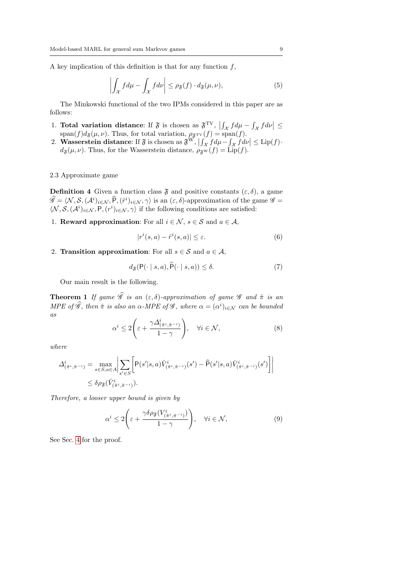A key implication of this definition is that for any function  $f$ ,

$$
\left| \int_{\mathcal{X}} f d\mu - \int_{\mathcal{X}} f d\nu \right| \le \rho_{\mathfrak{F}}(f) \cdot d_{\mathfrak{F}}(\mu, \nu), \tag{5}
$$

The Minkowski functional of the two IPMs considered in this paper are as follows:

- 1. Total variation distance: If  $\mathfrak{F}$  is chosen as  $\mathfrak{F}^{\text{TV}}$ ,  $\left| \int_{\mathcal{X}} f d\mu \int_{\mathcal{X}} f d\nu \right| \leq$  $\text{span}(f)d_{\mathfrak{F}}(\mu,\nu)$ . Thus, for total variation,  $\rho_{\mathfrak{F}^{\text{TV}}}(f) = \text{span}(f)$ .
- 2. Wasserstein distance: If  $\mathfrak{F}$  is chosen as  $\mathfrak{F}^W$ ,  $\left| \int_{\mathcal{X}} f d\mu \int_{\mathcal{X}} f d\nu \right| \leq \text{Lip}(f)$ .  $d_{\mathfrak{F}}(\mu, \nu)$ . Thus, for the Wasserstein distance,  $\rho_{\mathfrak{F}^{\mathrm{W}}}(f) = \text{Lip}(f)$ .

## 2.3 Approximate game

<span id="page-8-4"></span>**Definition 4** Given a function class  $\mathfrak{F}$  and positive constants  $(\varepsilon, \delta)$ , a game  $\widehat{\mathscr{G}} = \langle \mathcal{N}, \mathcal{S}, (\mathcal{A}^i)_{i \in \mathcal{N}}, \widehat{P}, (\widehat{r}^i)_{i \in \mathcal{N}}, \gamma \rangle$  is an  $(\varepsilon, \delta)$ -approximation of the game  $\mathscr{G} =$  $\langle \mathcal{N}, \mathcal{S}, (\mathcal{A}^i)_{i \in \mathcal{N}}, \mathsf{P}, (r^i)_{i \in \mathcal{N}}, \gamma \rangle$  if the following conditions are satisfied:

1. **Reward approximation:** For all  $i \in \mathcal{N}$ ,  $s \in \mathcal{S}$  and  $a \in \mathcal{A}$ ,

<span id="page-8-3"></span>
$$
|r^i(s,a) - \hat{r}^i(s,a)| \le \varepsilon. \tag{6}
$$

2. Transition approximation: For all  $s \in \mathcal{S}$  and  $a \in \mathcal{A}$ ,

$$
d_{\mathfrak{F}}(\mathsf{P}(\cdot \mid s, a), \widehat{\mathsf{P}}(\cdot \mid s, a)) \le \delta. \tag{7}
$$

Our main result is the following.

<span id="page-8-2"></span>**Theorem 1** If game  $\widehat{\mathscr{G}}$  is an  $(\varepsilon, \delta)$ -approximation of game  $\mathscr{G}$  and  $\hat{\pi}$  is an MPE of  $\hat{\mathscr{G}}$ , then  $\hat{\pi}$  is also an  $\alpha$ -MPE of  $\mathscr{G}$ , where  $\alpha = (\alpha^i)_{i \in \mathcal{N}}$  can be bounded as

<span id="page-8-0"></span>
$$
\alpha^i \le 2\left(\varepsilon + \frac{\gamma \Delta^i_{(\hat{\pi}^i, \hat{\pi}^{-i})}}{1 - \gamma}\right), \quad \forall i \in \mathcal{N},
$$
\n
$$
(8)
$$

where

$$
\Delta_{(\hat{\pi}^i, \hat{\pi}^{-i})}^i = \max_{s \in S, a \in A} \left| \sum_{s' \in S} \left[ P(s'|s, a) \hat{V}_{(\hat{\pi}^i, \hat{\pi}^{-i})}^i(s') - \hat{P}(s'|s, a) \hat{V}_{(\hat{\pi}^i, \hat{\pi}^{-i})}^i(s') \right] \right|
$$
  

$$
\leq \delta \rho_{\mathfrak{F}}(\hat{V}_{(\hat{\pi}^i, \hat{\pi}^{-i})}^i).
$$

Therefore, a looser upper bound is given by

<span id="page-8-1"></span>
$$
\alpha^i \le 2\left(\varepsilon + \frac{\gamma \delta \rho_{\mathfrak{F}}(V^i_{(\hat{\pi}^i, \hat{\pi}^{-i})})}{1-\gamma}\right), \quad \forall i \in \mathcal{N},
$$
\n(9)

See Sec. [4](#page-16-0) for the proof.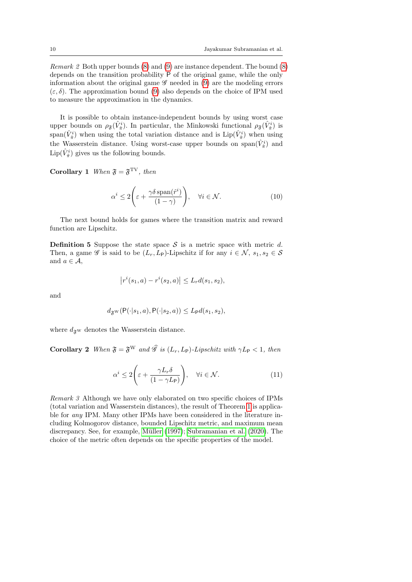Remark 2 Both upper bounds [\(8\)](#page-8-0) and [\(9\)](#page-8-1) are instance dependent. The bound [\(8\)](#page-8-0) depends on the transition probability P of the original game, while the only information about the original game  $\mathscr G$  needed in [\(9\)](#page-8-1) are the modeling errors  $(\varepsilon, \delta)$ . The approximation bound [\(9\)](#page-8-1) also depends on the choice of IPM used to measure the approximation in the dynamics.

It is possible to obtain instance-independent bounds by using worst case upper bounds on  $\rho_{\frak{F}}(\hat{V}_{\hat{\pi}}^i)$ . In particular, the Minkowski functional  $\rho_{\frak{F}}(\hat{V}_{\hat{\pi}}^i)$  is  $\text{span}(\hat{V}^i_{\hat{\pi}})$  when using the total variation distance and is  $\text{Lip}(\hat{V}^i_{\hat{\pi}})$  when using the Wasserstein distance. Using worst-case upper bounds on  $\text{span}(\hat{V}^i_{\hat{\pi}})$  and  $\text{Lip}(\hat{V}^i_{\hat{\pi}})$  gives us the following bounds.

<span id="page-9-0"></span>Corollary 1 When  $\mathfrak{F} = \mathfrak{F}^{\mathrm{TV}}$ , then

$$
\alpha^i \le 2\left(\varepsilon + \frac{\gamma \delta \operatorname{span}(\hat{r}^i)}{(1-\gamma)}\right), \quad \forall i \in \mathcal{N}.\tag{10}
$$

The next bound holds for games where the transition matrix and reward function are Lipschitz.

**Definition 5** Suppose the state space S is a metric space with metric d. Then, a game  $\mathscr G$  is said to be  $(L_r, L_{\mathsf{P}})$ -Lipschitz if for any  $i \in \mathcal N$ ,  $s_1, s_2 \in \mathcal S$ and  $a \in \mathcal{A}$ ,

$$
|r^{i}(s_1, a) - r^{i}(s_2, a)| \le L_r d(s_1, s_2),
$$

and

$$
d_{\mathfrak{F}^{\mathrm{W}}}(\mathsf{P}(\cdot|s_1, a), \mathsf{P}(\cdot|s_2, a)) \le L_{\mathsf{P}}d(s_1, s_2),
$$

where  $d_{\mathfrak{F}^{\mathrm{W}}}$  denotes the Wasserstein distance.

<span id="page-9-1"></span>**Corollary 2** When  $\mathfrak{F} = \mathfrak{F}^W$  and  $\widehat{\mathcal{G}}$  is  $(L_r, L_P)$ -Lipschitz with  $\gamma L_P < 1$ , then

$$
\alpha^i \le 2\left(\varepsilon + \frac{\gamma L_r \delta}{(1 - \gamma L_{\mathsf{P}})}\right), \quad \forall i \in \mathcal{N}.\tag{11}
$$

Remark 3 Although we have only elaborated on two specific choices of IPMs (total variation and Wasserstein distances), the result of Theorem [1](#page-8-2) is applicable for any IPM. Many other IPMs have been considered in the literature including Kolmogorov distance, bounded Lipschitz metric, and maximum mean discrepancy. See, for example, Müller [\(1997\)](#page-28-20); [Subramanian et al.](#page-28-21) [\(2020\)](#page-28-21). The choice of the metric often depends on the specific properties of the model.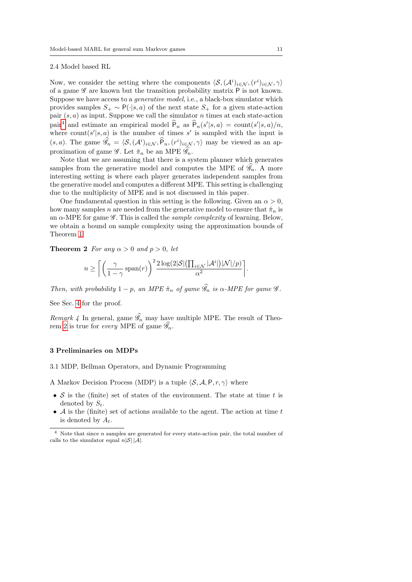#### <span id="page-10-3"></span>2.4 Model based RL

Now, we consider the setting where the components  $\langle S, (\mathcal{A}^i)_{i \in \mathcal{N}}, (r^i)_{i \in \mathcal{N}}, \gamma \rangle$ of a game  $\mathscr G$  are known but the transition probability matrix P is not known. Suppose we have access to a *generative model*, i.e., a black-box simulator which provides samples  $S_+ \sim P(\cdot|s, a)$  of the next state  $S_+$  for a given state-action pair  $(s, a)$  as input. Suppose we call the simulator n times at each state-action pair<sup>[4](#page-10-1)</sup> and estimate an empirical model  $\hat{P}_n$  as  $\hat{P}_n(s'|s, a) = \text{count}(s'|s, a)/n$ , where count $(s'|s, a)$  is the number of times s' is sampled with the input is  $(s, a)$ . The game  $\widehat{\mathscr{G}}_n = \langle \mathcal{S}, (\mathcal{A}^i)_{i \in \mathcal{N}}, \widehat{P}_n, (r^i)_{i \in \mathcal{N}}, \gamma \rangle$  may be viewed as an approximation of game  $\mathscr{G}$ . Let  $\hat{\pi}_n$  be an MPE  $\mathscr{G}_n$ .

Note that we are assuming that there is a system planner which generates samples from the generative model and computes the MPE of  $\mathscr{G}_n$ . A more interesting setting is where each player generates independent samples from the generative model and computes a different MPE. This setting is challenging due to the multiplicity of MPE and is not discussed in this paper.

One fundamental question in this setting is the following. Given an  $\alpha > 0$ , how many samples n are needed from the generative model to ensure that  $\hat{\pi}_n$  is an  $\alpha$ -MPE for game  $\mathscr G$ . This is called the *sample complexity* of learning. Below, we obtain a bound on sample complexity using the approximation bounds of Theorem [1.](#page-8-2)

<span id="page-10-2"></span>**Theorem 2** For any  $\alpha > 0$  and  $p > 0$ , let

$$
n \geq \left\lceil \left( \frac{\gamma}{1-\gamma} \operatorname{span}(r) \right)^2 \frac{2 \log(2|\mathcal{S}| \left( \prod_{i \in \mathcal{N}} |\mathcal{A}^i| \right) |\mathcal{N}|/p)}{\alpha^2} \right\rceil.
$$

Then, with probability  $1 - p$ , an MPE  $\hat{\pi}_n$  of game  $\mathscr{G}_n$  is  $\alpha$ -MPE for game  $\mathscr{G}$ .

See Sec. [4](#page-16-0) for the proof.

Remark 4 In general, game  $\mathscr{G}_n$  may have multiple MPE. The result of Theo-rem [2](#page-10-2) is true for *every* MPE of game  $\mathscr{G}_n$ .

#### <span id="page-10-0"></span>3 Preliminaries on MDPs

3.1 MDP, Bellman Operators, and Dynamic Programming

A Markov Decision Process (MDP) is a tuple  $\langle S, A, P, r, \gamma \rangle$  where

- S is the (finite) set of states of the environment. The state at time t is denoted by  $S_t$ .
- $\mathcal A$  is the (finite) set of actions available to the agent. The action at time  $t$ is denoted by  $A_t$ .

<span id="page-10-1"></span> $4$  Note that since *n* samples are generated for every state-action pair, the total number of calls to the simulator equal  $n|\mathcal{S}| |\mathcal{A}|$ .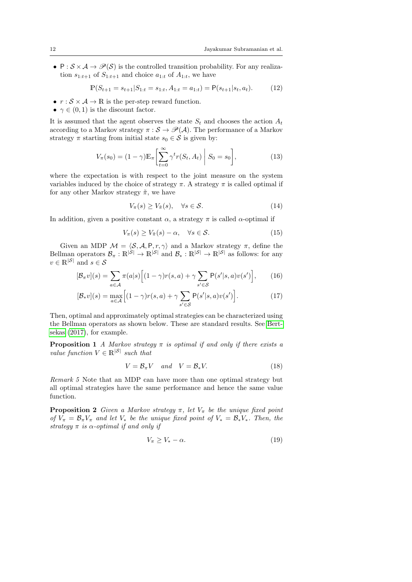•  $P : S \times A \rightarrow \mathcal{P}(S)$  is the controlled transition probability. For any realization  $s_{1:t+1}$  of  $S_{1:t+1}$  and choice  $a_{1:t}$  of  $A_{1:t}$ , we have

$$
\mathbb{P}(S_{t+1} = s_{t+1} | S_{1:t} = s_{1:t}, A_{1:t} = a_{1:t}) = \mathsf{P}(s_{t+1} | s_t, a_t). \tag{12}
$$

- $r : \mathcal{S} \times \mathcal{A} \rightarrow \mathbb{R}$  is the per-step reward function.
- $\gamma \in (0, 1)$  is the discount factor.

It is assumed that the agent observes the state  $S_t$  and chooses the action  $A_t$ according to a Markov strategy  $\pi : \mathcal{S} \to \mathcal{P}(\mathcal{A})$ . The performance of a Markov strategy  $\pi$  starting from initial state  $s_0 \in \mathcal{S}$  is given by:

$$
V_{\pi}(s_0) = (1 - \gamma) \mathbb{E}_{\pi} \left[ \sum_{t=0}^{\infty} \gamma^t r(S_t, A_t) \middle| S_0 = s_0 \right],
$$
 (13)

where the expectation is with respect to the joint measure on the system variables induced by the choice of strategy  $\pi$ . A strategy  $\pi$  is called optimal if for any other Markov strategy  $\tilde{\pi},$  we have

$$
V_{\pi}(s) \ge V_{\tilde{\pi}}(s), \quad \forall s \in \mathcal{S}.
$$
\n
$$
(14)
$$

In addition, given a positive constant  $\alpha$ , a strategy  $\pi$  is called  $\alpha$ -optimal if

$$
V_{\pi}(s) \ge V_{\tilde{\pi}}(s) - \alpha, \quad \forall s \in \mathcal{S}.
$$
 (15)

Given an MDP  $\mathcal{M} = \langle \mathcal{S}, \mathcal{A}, P, r, \gamma \rangle$  and a Markov strategy  $\pi$ , define the Bellman operators  $\mathcal{B}_{\pi}: \mathbb{R}^{|\mathcal{S}|} \to \mathbb{R}^{|\mathcal{S}|}$  and  $\mathcal{B}_{*}: \mathbb{R}^{|\mathcal{S}|} \to \mathbb{R}^{|\mathcal{S}|}$  as follows: for any  $v \in \mathbb{R}^{|\mathcal{S}|}$  and  $s \in \mathcal{S}$ 

$$
[\mathcal{B}_{\pi}v](s) = \sum_{a \in \mathcal{A}} \pi(a|s) \Big[ (1-\gamma)r(s,a) + \gamma \sum_{s' \in \mathcal{S}} \mathsf{P}(s'|s,a)v(s') \Big],\tag{16}
$$

$$
[\mathcal{B}_*v](s) = \max_{a \in \mathcal{A}} \Big[ (1 - \gamma)r(s, a) + \gamma \sum_{s' \in \mathcal{S}} \mathsf{P}(s'|s, a)v(s') \Big]. \tag{17}
$$

Then, optimal and approximately optimal strategies can be characterized using the Bellman operators as shown below. These are standard results. See [Bert](#page-27-23)[sekas](#page-27-23) [\(2017\)](#page-27-23), for example.

**Proposition 1** A Markov strategy  $\pi$  is optimal if and only if there exists a value function  $V \in \mathbb{R}^{|S|}$  such that

<span id="page-11-2"></span>
$$
V = \mathcal{B}_{\pi} V \quad and \quad V = \mathcal{B}_{*} V. \tag{18}
$$

Remark 5 Note that an MDP can have more than one optimal strategy but all optimal strategies have the same performance and hence the same value function.

<span id="page-11-1"></span>**Proposition 2** Given a Markov strategy  $\pi$ , let  $V_{\pi}$  be the unique fixed point of  $V_{\pi} = \mathcal{B}_{\pi} V_{\pi}$  and let  $V_{*}$  be the unique fixed point of  $V_{*} = \mathcal{B}_{*} V_{*}$ . Then, the strategy  $\pi$  is  $\alpha$ -optimal if and only if

<span id="page-11-0"></span>
$$
V_{\pi} \ge V_* - \alpha. \tag{19}
$$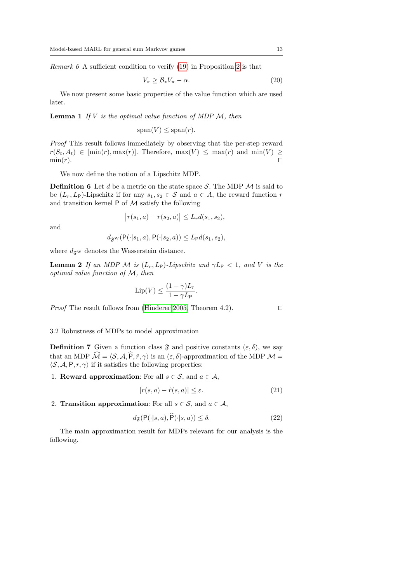*Remark 6* A sufficient condition to verify  $(19)$  in Proposition [2](#page-11-1) is that

$$
V_{\pi} \geq \mathcal{B}_* V_{\pi} - \alpha. \tag{20}
$$

We now present some basic properties of the value function which are used later.

<span id="page-12-1"></span>**Lemma 1** If V is the optimal value function of MDP  $M$ , then

 $span(V) \leq span(r)$ .

Proof This result follows immediately by observing that the per-step reward  $r(S_t, A_t) \in \text{min}(r), \max(r)$ . Therefore,  $\max(V) \leq \max(r)$  and  $\min(V) \geq$  $\min(r)$ .

We now define the notion of a Lipschitz MDP.

**Definition 6** Let d be a metric on the state space  $S$ . The MDP  $M$  is said to be  $(L_r, L_\mathsf{P})$ -Lipschitz if for any  $s_1, s_2 \in \mathcal{S}$  and  $a \in A$ , the reward function r and transition kernel  $P$  of  $M$  satisfy the following

$$
|r(s_1, a) - r(s_2, a)| \le L_r d(s_1, s_2),
$$

and

$$
d_{\mathfrak{F}^{\mathrm{W}}}(\mathsf{P}(\cdot|s_1,a),\mathsf{P}(\cdot|s_2,a))\leq L_{\mathsf{P}}d(s_1,s_2),
$$

where  $d_{\mathfrak{F}^{\text{W}}}$  denotes the Wasserstein distance.

<span id="page-12-2"></span>**Lemma 2** If an MDP M is  $(L_r, L_\mathsf{P})$ -Lipschitz and  $\gamma L_\mathsf{P} < 1$ , and V is the optimal value function of M, then

$$
\operatorname{Lip}(V) \le \frac{(1-\gamma)L_r}{1-\gamma L_{\mathsf{P}}}.
$$

*Proof* The result follows from [\(Hinderer 2005,](#page-27-24) Theorem 4.2).  $\square$ 

3.2 Robustness of MDPs to model approximation

<span id="page-12-3"></span>**Definition 7** Given a function class  $\mathfrak{F}$  and positive constants  $(\varepsilon, \delta)$ , we say that an MDP  $\widehat{\mathcal{M}} = \langle \mathcal{S}, \mathcal{A}, \widehat{P}, \hat{r}, \gamma \rangle$  is an  $(\varepsilon, \delta)$ -approximation of the MDP  $\mathcal{M} =$  $\langle \mathcal{S}, \mathcal{A}, P, r, \gamma \rangle$  if it satisfies the following properties:

1. **Reward approximation**: For all  $s \in \mathcal{S}$ , and  $a \in \mathcal{A}$ ,

$$
|r(s,a) - \hat{r}(s,a)| \le \varepsilon. \tag{21}
$$

2. Transition approximation: For all  $s \in \mathcal{S}$ , and  $a \in \mathcal{A}$ ,

$$
d_{\mathfrak{F}}(\mathsf{P}(\cdot|s,a),\widehat{\mathsf{P}}(\cdot|s,a)) \le \delta. \tag{22}
$$

<span id="page-12-0"></span>The main approximation result for MDPs relevant for our analysis is the following.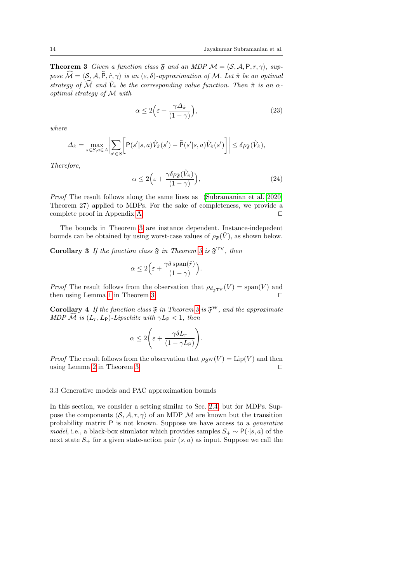**Theorem 3** Given a function class  $\mathfrak{F}$  and an MDP  $\mathcal{M} = \langle \mathcal{S}, \mathcal{A}, P, r, \gamma \rangle$ , suppose  $\widehat{\mathcal{M}} = \langle \mathcal{S}, \mathcal{A}, \widehat{P}, \hat{r}, \gamma \rangle$  is an  $(\varepsilon, \delta)$ -approximation of M. Let  $\hat{\pi}$  be an optimal strategy of  $\widehat{\mathcal{M}}$  and  $\widehat{V}_{\hat{\pi}}$  be the corresponding value function. Then  $\hat{\pi}$  is an  $\alpha$ optimal strategy of M with

$$
\alpha \le 2\Big(\varepsilon + \frac{\gamma \Delta_{\hat{\pi}}}{(1-\gamma)}\Big),\tag{23}
$$

where

$$
\Delta_{\hat{\pi}} = \max_{s \in S, a \in A} \bigg| \sum_{s' \in S} \bigg[ P(s'|s, a) \hat{V}_{\hat{\pi}}(s') - \hat{P}(s'|s, a) \hat{V}_{\hat{\pi}}(s') \bigg] \bigg| \le \delta \rho_{\mathfrak{F}}(\hat{V}_{\hat{\pi}}),
$$

Therefore,

$$
\alpha \le 2\Big(\varepsilon + \frac{\gamma \delta \rho_{\mathfrak{F}}(\hat{V}_{\hat{\pi}})}{(1-\gamma)}\Big),\tag{24}
$$

Proof The result follows along the same lines as [\(Subramanian et al. 2020,](#page-28-21) Theorem 27) applied to MDPs. For the sake of completeness, we provide a complete proof in Appendix [A.](#page-25-0)  $\Box$ 

The bounds in Theorem [3](#page-12-0) are instance dependent. Instance-indepedent bounds can be obtained by using worst-case values of  $\rho_{\mathfrak{F}}(\tilde{V})$ , as shown below.

<span id="page-13-0"></span>**Corollary [3](#page-12-0)** If the function class  $\mathfrak{F}$  in Theorem 3 is  $\mathfrak{F}^{\text{TV}}$ , then

$$
\alpha \le 2\Big(\varepsilon + \frac{\gamma \delta \operatorname{span}(\hat{r})}{(1 - \gamma)}\Big).
$$

*Proof* The result follows from the observation that  $\rho_{d_{\mathfrak{F}}\text{TV}}(V) = \text{span}(V)$  and then using Lemma 1 in Theorem 3. then using Lemma [1](#page-12-1) in Theorem [3.](#page-12-0)

<span id="page-13-1"></span>**Corollary 4** If the function class  $\mathfrak{F}$  in Theorem [3](#page-12-0) is  $\mathfrak{F}^W$ , and the approximate MDP  $\mathcal{\hat{M}}$  is  $(L_r, L_{\mathsf{P}})$ -Lipschitz with  $\gamma L_{\mathsf{P}} < 1$ , then

$$
\alpha \le 2\left(\varepsilon + \frac{\gamma \delta L_r}{(1 - \gamma L_{\mathsf{P}})}\right).
$$

*Proof* The result follows from the observation that  $\rho_{\mathfrak{F}^W}(V) = \text{Lip}(V)$  and then using Lemma [2](#page-12-2) in Theorem [3.](#page-12-0)  $\Box$ 

3.3 Generative models and PAC approximation bounds

In this section, we consider a setting similar to Sec. [2.4,](#page-10-3) but for MDPs. Suppose the components  $\langle \mathcal{S}, \mathcal{A}, r, \gamma \rangle$  of an MDP M are known but the transition probability matrix P is not known. Suppose we have access to a generative model, i.e., a black-box simulator which provides samples  $S_+ \sim P(\cdot|s, a)$  of the next state  $S_+$  for a given state-action pair  $(s, a)$  as input. Suppose we call the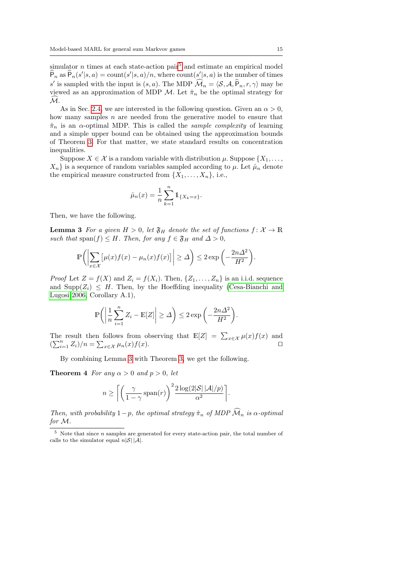simulator  $n$  times at each state-action pair<sup>[5](#page-14-0)</sup> and estimate an empirical model  $\widehat{P}_n$  as  $\widehat{P}_n(s'|s, a) = \text{count}(s'|s, a)/n$ , where  $\text{count}(s'|s, a)$  is the number of times s' is sampled with the input is  $(s, a)$ . The MDP  $\widehat{\mathcal{M}}_n = \langle \mathcal{S}, \mathcal{A}, \widehat{P}_n, r, \gamma \rangle$  may be viewed as an approximation of MDP  $\mathcal{M}$ . Let  $\hat{\pi}_n$  be the optimal strategy for  $\mathcal{\tilde{M}}$ .

As in Sec. [2.4,](#page-10-3) we are interested in the following question. Given an  $\alpha > 0$ , how many samples  $n$  are needed from the generative model to ensure that  $\hat{\pi}_n$  is an  $\alpha$ -optimal MDP. This is called the *sample complexity* of learning and a simple upper bound can be obtained using the approximation bounds of Theorem [3.](#page-12-0) For that matter, we state standard results on concentration inequalities.

Suppose  $X \in \mathcal{X}$  is a random variable with distribution  $\mu$ . Suppose  $\{X_1, \ldots, X_n\}$  $X_n$  is a sequence of random variables sampled according to  $\mu$ . Let  $\hat{\mu}_n$  denote the empirical measure constructed from  $\{X_1, \ldots, X_n\}$ , i.e.,

$$
\hat{\mu}_n(x) = \frac{1}{n} \sum_{k=1}^n \mathbb{1}_{\{X_k = x\}}.
$$

<span id="page-14-1"></span>Then, we have the following.

**Lemma 3** For a given  $H > 0$ , let  $\mathfrak{F}_H$  denote the set of functions  $f: \mathcal{X} \to \mathbb{R}$ such that span(f)  $\leq H$ . Then, for any  $f \in \mathfrak{F}_H$  and  $\Delta > 0$ ,

$$
\mathbb{P}\bigg(\bigg|\sum_{x\in\mathcal{X}}\big[\mu(x)f(x)-\mu_n(x)f(x)\big]\bigg|\geq\varDelta\bigg)\leq 2\exp\bigg(-\frac{2n\varDelta^2}{H^2}\bigg).
$$

*Proof* Let  $Z = f(X)$  and  $Z_i = f(X_i)$ . Then,  $\{Z_1, \ldots, Z_n\}$  is an i.i.d. sequence and  $\text{Supp}(Z_i) \leq H$ . Then, by the Hoeffding inequality [\(Cesa-Bianchi and](#page-27-25) [Lugosi 2006,](#page-27-25) Corollary A.1),

$$
\mathbb{P}\bigg(\bigg|\frac{1}{n}\sum_{i=1}^n Z_i - \mathbb{E}[Z]\bigg| \ge \Delta\bigg) \le 2\exp\bigg(-\frac{2n\Delta^2}{H^2}\bigg).
$$

The result then follows from observing that  $\mathbb{E}[Z] = \sum_{x \in \mathcal{X}} \mu(x) f(x)$  and  $\left(\sum_{i=1}^n Z_i\right)/n = \sum_{x \in \mathcal{X}} \mu_n(x) f(x).$ 

By combining Lemma [3](#page-14-1) with Theorem [3,](#page-12-0) we get the following.

<span id="page-14-2"></span>**Theorem 4** For any  $\alpha > 0$  and  $p > 0$ , let

$$
n \ge \left\lceil \left( \frac{\gamma}{1-\gamma} \operatorname{span}(r) \right)^2 \frac{2 \log(2|\mathcal{S}| |\mathcal{A}|/p)}{\alpha^2} \right\rceil.
$$

Then, with probability  $1-p$ , the optimal strategy  $\hat{\pi}_n$  of MDP  $\widehat{\mathcal{M}}_n$  is  $\alpha$ -optimal for M.

<span id="page-14-0"></span> $5$  Note that since *n* samples are generated for every state-action pair, the total number of calls to the simulator equal  $n|\mathcal{S}| |\mathcal{A}|$ .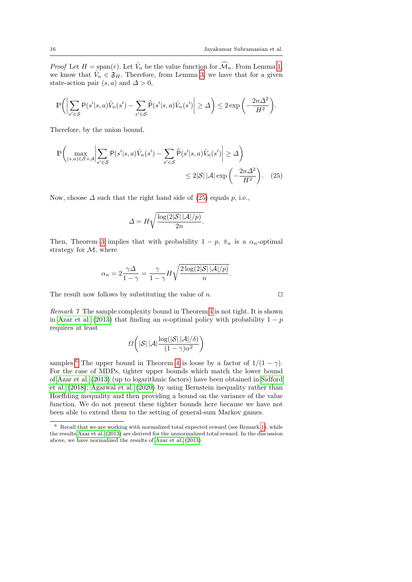*Proof* Let  $H = \text{span}(r)$ . Let  $\hat{V}_n$  be the value function for  $\widehat{\mathcal{M}}_n$ . From Lemma [1,](#page-12-1) we know that  $\hat{V}_n \in \mathfrak{F}_H$ . Therefore, from Lemma [3,](#page-14-1) we have that for a given state-action pair  $(s, a)$  and  $\Delta > 0$ ,

$$
\mathbb{P}\bigg(\bigg|\sum_{s'\in\mathcal{S}}\mathsf{P}(s'|s,a)\hat{V}_n(s')-\sum_{s'\in\mathcal{S}}\widehat{\mathsf{P}}(s'|s,a)\hat{V}_n(s')\bigg|\geq\varDelta\bigg)\leq 2\exp\bigg(-\frac{2n\varDelta^2}{H^2}\bigg).
$$

Therefore, by the union bound,

$$
\mathbb{P}\left(\max_{(s,a)\in\mathcal{S}\times\mathcal{A}}\left|\sum_{s'\in\mathcal{S}}\mathsf{P}(s'|s,a)\hat{V}_n(s')-\sum_{s'\in\mathcal{S}}\widehat{\mathsf{P}}(s'|s,a)\hat{V}_n(s')\right|\geq\Delta\right)
$$

$$
\leq 2|\mathcal{S}||\mathcal{A}|\exp\left(-\frac{2n\Delta^2}{H^2}\right). \quad (25)
$$

Now, choose  $\Delta$  such that the right hand side of [\(25\)](#page-15-0) equals p, i.e.,

$$
\Delta = H \sqrt{\frac{\log(2|\mathcal{S}||\mathcal{A}|/p)}{2n}}.
$$

Then, Theorem [3](#page-12-0) implies that with probability  $1 - p$ ,  $\hat{\pi}_n$  is a  $\alpha_n$ -optimal strategy for  $M$ , where

$$
\alpha_n = 2 \frac{\gamma \Delta}{1 - \gamma} = \frac{\gamma}{1 - \gamma} H \sqrt{\frac{2 \log(2|\mathcal{S}| |\mathcal{A}|/p)}{n}}.
$$

The result now follows by substituting the value of  $n$ .

<span id="page-15-2"></span>Remark 7 The sample complexity bound in Theorem [4](#page-14-2) is not tight. It is shown in [Azar et al.](#page-27-18) [\(2013\)](#page-27-18) that finding an  $\alpha$ -optimal policy with probability  $1 - p$ requires at least

$$
\varOmega\bigg(|\mathcal{S}|\,|\mathcal{A}|\frac{\log(|\mathcal{S}|\,|\mathcal{A}|/\delta)}{(1-\gamma)\alpha^2}\bigg)
$$

samples.<sup>[6](#page-15-1)</sup> The upper bound in Theorem [4](#page-14-2) is loose by a factor of  $1/(1 - \gamma)$ . For the case of MDPs, tighter upper bounds which match the lower bound of [Azar et al.](#page-27-18) [\(2013\)](#page-27-18) (up to logarithmic factors) have been obtained in [Sidford](#page-28-14) [et al.](#page-28-14) [\(2018\)](#page-28-14); [Agarwal et al.](#page-26-1) [\(2020\)](#page-26-1) by using Bernstein inequality rather than Hoeffding inequality and then providing a bound on the variance of the value function. We do not present these tighter bounds here because we have not been able to extend them to the setting of general-sum Markov games.

<span id="page-15-0"></span>

<span id="page-15-1"></span> $6$  Recall that we are working with normalized total expected reward (see Remark [1\)](#page-6-0), while the results [Azar et al.](#page-27-18) [\(2013\)](#page-27-18) are derived for the unnormalized total reward. In the discussion above, we have normalized the results of [Azar et al.](#page-27-18) [\(2013\)](#page-27-18).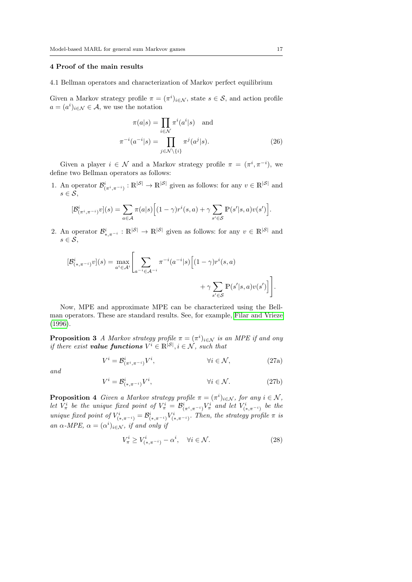## <span id="page-16-0"></span>4 Proof of the main results

4.1 Bellman operators and characterization of Markov perfect equilibrium

Given a Markov strategy profile  $\pi = (\pi^i)_{i \in \mathcal{N}}$ , state  $s \in \mathcal{S}$ , and action profile  $a = (a^i)_{i \in \mathcal{N}} \in \mathcal{A}$ , we use the notation

$$
\pi(a|s) = \prod_{i \in \mathcal{N}} \pi^i(a^i|s) \text{ and}
$$

$$
\pi^{-i}(a^{-i}|s) = \prod_{j \in \mathcal{N}\backslash\{i\}} \pi^j(a^j|s).
$$
(26)

Given a player  $i \in \mathcal{N}$  and a Markov strategy profile  $\pi = (\pi^i, \pi^{-i}),$  we define two Bellman operators as follows:

1. An operator  $\mathcal{B}^i_{(\pi^i, \pi^{-i})}: \mathbb{R}^{|\mathcal{S}|} \to \mathbb{R}^{|\mathcal{S}|}$  given as follows: for any  $v \in \mathbb{R}^{|\mathcal{S}|}$  and  $s \in \mathcal{S}$ ,

$$
[\mathcal{B}^i_{(\pi^i, \pi^{-i})} v](s) = \sum_{a \in \mathcal{A}} \pi(a|s) \Big[ (1 - \gamma) r^i(s, a) + \gamma \sum_{s' \in \mathcal{S}} \mathbb{P}(s'|s, a) v(s') \Big].
$$

2. An operator  $\mathcal{B}_{*,\pi^{-i}}^i : \mathbb{R}^{|\mathcal{S}|} \to \mathbb{R}^{|\mathcal{S}|}$  given as follows: for any  $v \in \mathbb{R}^{|\mathcal{S}|}$  and  $s \in \mathcal{S}$ ,

$$
[\mathcal{B}_{(*,\pi^{-i})}^i v](s) = \max_{a^i \in \mathcal{A}^i} \left[ \sum_{a^{-i} \in \mathcal{A}^{-i}} \pi^{-i} (a^{-i}|s) \left[ (1-\gamma)r^i(s,a) + \gamma \sum_{s' \in \mathcal{S}} \mathbb{P}(s'|s,a)v(s') \right] \right].
$$

Now, MPE and approximate MPE can be characterized using the Bellman operators. These are standard results. See, for example, [Filar and Vrieze](#page-27-2) [\(1996\)](#page-27-2).

<span id="page-16-1"></span>**Proposition 3** A Markov strategy profile  $\pi = (\pi^i)_{i \in \mathcal{N}}$  is an MPE if and ony if there exist **value functions**  $V^i \in \mathbb{R}^{|S|}$ ,  $i \in \mathcal{N}$ , such that

$$
V^{i} = \mathcal{B}^{i}_{(\pi^{i}, \pi^{-i})} V^{i}, \qquad \forall i \in \mathcal{N}, \qquad (27a)
$$

and

$$
V^i = \mathcal{B}^i_{(*,\pi^{-i})} V^i, \qquad \forall i \in \mathcal{N}.
$$
 (27b)

<span id="page-16-2"></span>**Proposition 4** Given a Markov strategy profile  $\pi = (\pi^i)_{i \in \mathcal{N}}$ , for any  $i \in \mathcal{N}$ , let  $V^i_\pi$  be the unique fixed point of  $V^i_\pi = \mathcal{B}^i_{(\pi^i, \pi^{-i})} V^i_\pi$  and let  $V^i_{(*, \pi^{-i})}$  be the unique fixed point of  $V^i_{(*,\pi^{-i})} = \mathcal{B}^i_{(*,\pi^{-i})} V^i_{(*,\pi^{-i})}$ . Then, the strategy profile  $\pi$  is an  $\alpha$ -MPE,  $\alpha = (\alpha^i)_{i \in \mathcal{N}}$ , if and only if

$$
V^i_{\pi} \ge V^i_{(*,\pi^{-i})} - \alpha^i, \quad \forall i \in \mathcal{N}.
$$
\n
$$
(28)
$$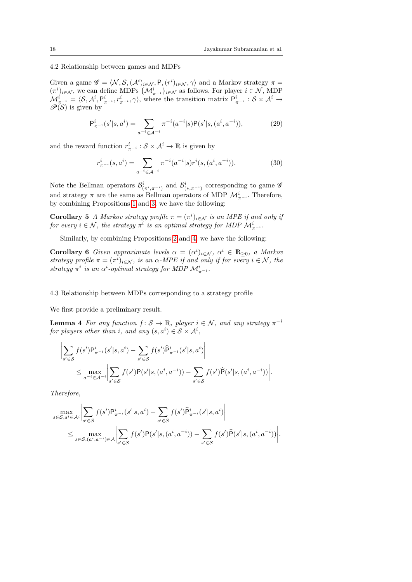4.2 Relationship between games and MDPs

Given a game  $\mathscr{G} = \langle \mathcal{N}, \mathcal{S},(\mathcal{A}^i)_{i \in \mathcal{N}}, P, (r^i)_{i \in \mathcal{N}}, \gamma \rangle$  and a Markov strategy  $\pi =$  $(\pi^i)_{i\in\mathcal{N}},$  we can define MDPs  $\{\mathcal{M}_{\pi^{-i}}^i\}_{i\in\mathcal{N}}$  as follows. For player  $i\in\mathcal{N},$  MDP  $\mathcal{M}_{\pi^{-i}}^i = \langle \mathcal{S}, \mathcal{A}^i, P_{\pi^{-i}}^i, r_{\pi^{-i}}^i, \gamma \rangle$ , where the transition matrix  $P_{\pi^{-i}}^i : \mathcal{S} \times \mathcal{A}^i \rightarrow$  $\mathscr{P}(\mathcal{S})$  is given by

$$
P_{\pi^{-i}}^{i}(s'|s,a^{i}) = \sum_{a^{-i} \in \mathcal{A}^{-i}} \pi^{-i}(a^{-i}|s)P(s'|s,(a^{i},a^{-i})),
$$
\n(29)

and the reward function  $r_{\pi^{-i}}^i : \mathcal{S} \times \mathcal{A}^i \to \mathbb{R}$  is given by

<span id="page-17-3"></span><span id="page-17-2"></span><span id="page-17-1"></span>
$$
r_{\pi^{-i}}^{i}(s, a^{i}) = \sum_{a^{-i} \in \mathcal{A}^{-i}} \pi^{-i}(a^{-i}|s)r^{i}(s, (a^{i}, a^{-i})).
$$
\n(30)

Note the Bellman operators  $\mathcal{B}^i_{(\pi^i, \pi^{-i})}$  and  $\mathcal{B}^i_{(*,\pi^{-i})}$  corresponding to game  $\mathscr{G}$ and strategy  $\pi$  are the same as Bellman operators of MDP  $\mathcal{M}^i_{\pi^{-i}}$ . Therefore, by combining Propositions [1](#page-11-2) and [3,](#page-16-1) we have the following:

**Corollary 5** A Markov strategy profile  $\pi = (\pi^i)_{i \in \mathcal{N}}$  is an MPE if and only if for every  $i \in \mathcal{N}$ , the strategy  $\pi^i$  is an optimal strategy for MDP  $\mathcal{M}^i_{\pi^{-i}}$ .

Similarly, by combining Propositions [2](#page-11-1) and [4,](#page-16-2) we have the following:

**Corollary 6** Given approximate levels  $\alpha = (\alpha^i)_{i \in \mathcal{N}}$ ,  $\alpha^i \in \mathbb{R}_{\geq 0}$ , a Markov strategy profile  $\pi = (\pi^i)_{i \in \mathcal{N}}$ , is an  $\alpha$ -MPE if and only if for every  $i \in \mathcal{N}$ , the strategy  $\pi^i$  is an  $\alpha^i$ -optimal strategy for MDP  $\mathcal{M}^i_{\pi^{-i}}$ .

4.3 Relationship between MDPs corresponding to a strategy profile

We first provide a preliminary result.

**Lemma 4** For any function  $f: \mathcal{S} \to \mathbb{R}$ , player  $i \in \mathcal{N}$ , and any strategy  $\pi^{-i}$ for players other than i, and any  $(s, a^i) \in S \times \mathcal{A}^i$ ,

$$
\left| \sum_{s' \in S} f(s') P_{\pi^{-i}}^i(s' | s, a^i) - \sum_{s' \in S} f(s') \hat{P}_{\pi^{-i}}^i(s' | s, a^i) \right|
$$
  

$$
\leq \max_{a^{-i} \in \mathcal{A}^{-i}} \left| \sum_{s' \in S} f(s') P(s' | s, (a^i, a^{-i})) - \sum_{s' \in S} f(s') \hat{P}(s' | s, (a^i, a^{-i})) \right|.
$$

Therefore,

<span id="page-17-0"></span> $\mathbf{r}$ 

$$
\max_{s \in S, a^i \in A^i} \Big| \sum_{s' \in S} f(s') \mathsf{P}_{\pi^{-i}}^i(s'|s, a^i) - \sum_{s' \in S} f(s') \widehat{\mathsf{P}}_{\pi^{-i}}^i(s'|s, a^i) \Big|
$$
  

$$
\leq \max_{s \in S, (a^i, a^{-i}) \in A} \Big| \sum_{s' \in S} f(s') \mathsf{P}(s'|s, (a^i, a^{-i})) - \sum_{s' \in S} f(s') \widehat{\mathsf{P}}(s'|s, (a^i, a^{-i})) \Big|.
$$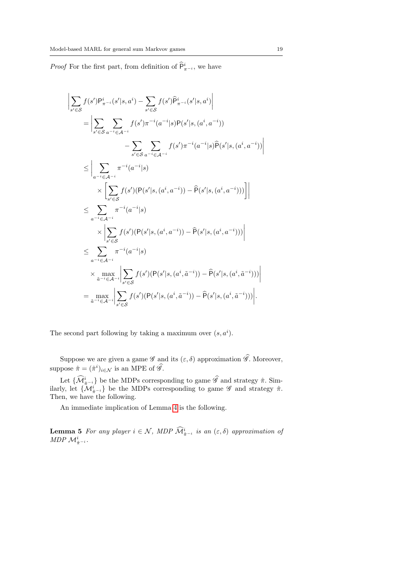*Proof* For the first part, from definition of  $\widehat{P}^i_{\pi^{-i}}$ , we have

$$
\begin{split}\n&\left|\sum_{s'\in\mathcal{S}}f(s')\mathsf{P}_{\pi^{-i}}^{i}(s'|s,a^{i})-\sum_{s'\in\mathcal{S}}f(s')\widehat{\mathsf{P}}_{\pi^{-i}}^{i}(s'|s,a^{i})\right| \\
&= \left|\sum_{s'\in\mathcal{S}}\sum_{a^{-i}\in\mathcal{A}^{-i}}f(s')\pi^{-i}(a^{-i}|s)\mathsf{P}(s'|s,(a^{i},a^{-i}))\right. \\
&\left.-\sum_{s'\in\mathcal{S}}\sum_{a^{-i}\in\mathcal{A}^{-i}}f(s')\pi^{-i}(a^{-i}|s)\widehat{\mathsf{P}}(s'|s,(a^{i},a^{-i}))\right| \\
&\leq \left|\sum_{a^{-i}\in\mathcal{A}^{-i}}\pi^{-i}(a^{-i}|s)\right. \\
&\times \left[\sum_{s'\in\mathcal{S}}f(s')(\mathsf{P}(s'|s,(a^{i},a^{-i}))-\widehat{\mathsf{P}}(s'|s,(a^{i},a^{-i})))\right]\right| \\
&\leq \sum_{a^{-i}\in\mathcal{A}^{-i}}\pi^{-i}(a^{-i}|s) \\
&\times \left|\sum_{s'\in\mathcal{S}}f(s')(\mathsf{P}(s'|s,(a^{i},a^{-i}))-\widehat{\mathsf{P}}(s'|s,(a^{i},a^{-i})))\right| \\
&\leq \sum_{a^{-i}\in\mathcal{A}^{-i}}\pi^{-i}(a^{-i}|s) \\
&\times \max_{\tilde{a}^{-i}\in\mathcal{A}^{-i}}\left|\sum_{s'\in\mathcal{S}}f(s')(\mathsf{P}(s'|s,(a^{i},\tilde{a}^{-i}))-\widehat{\mathsf{P}}(s'|s,(a^{i},\tilde{a}^{-i})))\right| \\
&=\max_{\tilde{a}^{-i}\in\mathcal{A}^{-i}}\left|\sum_{s'\in\mathcal{S}}f(s')(\mathsf{P}(s'|s,(a^{i},\tilde{a}^{-i}))-\widehat{\mathsf{P}}(s'|s,(a^{i},\tilde{a}^{-i})))\right|.\n\end{split}
$$

The second part following by taking a maximum over  $(s, a^i)$ .

Suppose we are given a game  $\mathscr G$  and its  $(\varepsilon, \delta)$  approximation  $\widehat{\mathscr G}$ . Moreover, suppose  $\hat{\pi} = (\hat{\pi}^i)_{i \in \mathcal{N}}$  is an MPE of  $\hat{\mathscr{G}}$ .

Let  $\{\widehat{\mathcal{M}}_{\hat{\pi}^{-i}}^i\}$  be the MDPs corresponding to game  $\widehat{\mathscr{G}}$  and strategy  $\hat{\pi}$ . Similarly, let  $\{\mathcal{M}_{\hat{\pi}^{-i}}^i\}$  be the MDPs corresponding to game  $\widehat{\mathscr{G}}$  and strategy  $\hat{\pi}$ . Then, we have the following.

<span id="page-18-0"></span>An immediate implication of Lemma [4](#page-17-0) is the following.

**Lemma 5** For any player  $i \in \mathcal{N}$ , MDP  $\widehat{\mathcal{M}}_{\hat{\pi}^{-i}}^i$  is an  $(\varepsilon, \delta)$  approximation of MDP  $\mathcal{M}^i_{\hat{\pi}^{-i}}$ .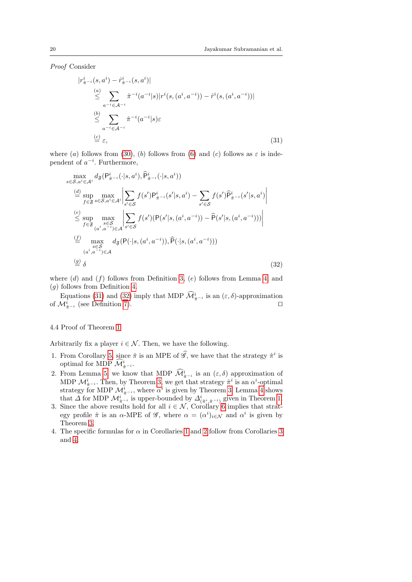Proof Consider

<span id="page-19-0"></span>
$$
|r_{\hat{\pi}^{-i}}^{i}(s, a^{i}) - \hat{r}_{\hat{\pi}^{-i}}^{i}(s, a^{i})|
$$
\n
$$
\leq \sum_{a^{-i} \in \mathcal{A}^{-i}} \hat{\pi}^{-i}(a^{-i}|s)|r^{i}(s, (a^{i}, a^{-i})) - \hat{r}^{i}(s, (a^{i}, a^{-i}))|
$$
\n
$$
\leq \sum_{a^{-i} \in \mathcal{A}^{-i}} \hat{\pi}^{-i}(a^{-i}|s)\varepsilon
$$
\n
$$
\stackrel{(c)}{\equiv} \varepsilon,
$$
\n(31)

where (a) follows from [\(30\)](#page-17-1), (b) follows from [\(6\)](#page-8-3) and (c) follows as  $\varepsilon$  is independent of  $a^{-i}$ . Furthermore,

<span id="page-19-1"></span>
$$
\max_{s \in S, a^i \in A^i} d_{\mathfrak{F}}(P^i_{\hat{\pi}^{-i}}(\cdot|s, a^i), \hat{P}^i_{\hat{\pi}^{-i}}(\cdot|s, a^i))
$$
\n
$$
\stackrel{(d)}{=} \sup_{f \in \mathfrak{F}} \max_{s \in S, a^i \in A^i} \Big| \sum_{s' \in S} f(s') P^i_{\hat{\pi}^{-i}}(s'|s, a^i) - \sum_{s' \in S} f(s') \hat{P}^i_{\hat{\pi}^{-i}}(s'|s, a^i) \Big|
$$
\n
$$
\stackrel{(e)}{\leq} \sup_{f \in \mathfrak{F}} \max_{\substack{s \in S \\ (a^i, a^{-i}) \in A}} \Big| \sum_{s' \in S} f(s') (P(s'|s, (a^i, a^{-i})) - \hat{P}(s'|s, (a^i, a^{-i}))) \Big|
$$
\n
$$
\stackrel{(f)}{=} \max_{\substack{s \in S \\ (a^i, a^{-i}) \in A}} d_{\mathfrak{F}}(P(\cdot|s, (a^i, a^{-i})), \hat{P}(\cdot|s, (a^i, a^{-i})))
$$
\n
$$
\stackrel{(g)}{=} \delta
$$
\n(32)

where  $(d)$  and  $(f)$  follows from Definition [3,](#page-7-1)  $(e)$  follows from Lemma [4,](#page-17-0) and (g) follows from Definition [4.](#page-8-4)

Equations [\(31\)](#page-19-0) and [\(32\)](#page-19-1) imply that MDP  $\widehat{\mathcal{M}}_{\hat{\pi}^{-i}}^i$  is an  $(\varepsilon, \delta)$ -approximation of  $\mathcal{M}^i_{\hat{\pi}^{-i}}$  (see Definition [7\)](#page-12-3). □

#### 4.4 Proof of Theorem [1](#page-8-2)

Arbitrarily fix a player  $i \in \mathcal{N}$ . Then, we have the following.

- 1. From Corollary [5,](#page-17-2) since  $\hat{\pi}$  is an MPE of  $\hat{\mathscr{G}}$ , we have that the strategy  $\hat{\pi}^i$  is optimal for MDP  $\widehat{\mathcal{M}}_{\hat{\pi}^{-i}}^i$ .
- 2. From Lemma [5,](#page-18-0) we know that MDP  $\widehat{\mathcal{M}}_{\hat{\pi}-i}^{i}$  is an  $(\varepsilon, \delta)$  approximation of MDP  $\mathcal{M}^i_{\hat{\pi}^{-i}}$ . Then, by Theorem [3,](#page-12-0) we get that strategy  $\hat{\pi}^i$  is an  $\alpha^i$ -optimal strategy for MDP  $\mathcal{M}^i_{\hat{\pi}^{-i}}$ , where  $\alpha^i$  is given by Theorem [3.](#page-12-0) Lemma [4](#page-17-0) shows that  $\Delta$  for MDP  $\mathcal{M}^i_{\hat{\pi}^{-i}}$  is upper-bounded by  $\Delta^i_{(\hat{\pi}^i, \hat{\pi}^{-i})}$  given in Theorem [1.](#page-8-2)
- 3. Since the above results hold for all  $i \in \mathcal{N}$ , Corollary [6](#page-17-3) implies that strategy profile  $\hat{\pi}$  is an  $\alpha$ -MPE of  $\mathscr{G}$ , where  $\alpha = (\alpha^i)_{i \in \mathcal{N}}$  and  $\alpha^i$  is given by Theorem [3.](#page-12-0)
- 4. The specific formulas for  $\alpha$  in Corollaries [1](#page-9-0) and [2](#page-9-1) follow from Corollaries [3](#page-13-0) and [4.](#page-13-1)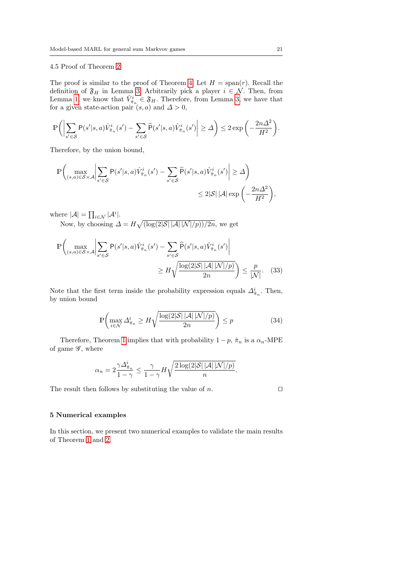## 4.5 Proof of Theorem [2](#page-10-2)

The proof is similar to the proof of Theorem [4.](#page-14-2) Let  $H = \text{span}(r)$ . Recall the definition of  $\mathfrak{F}_H$  in Lemma [3.](#page-14-1) Arbitrarily pick a player  $i \in \mathcal{N}$ . Then, from Lemma [1,](#page-12-1) we know that  $\hat{V}_{\hat{\pi}_n}^i \in \mathfrak{F}_H$ . Therefore, from Lemma [3,](#page-14-1) we have that for a given state-action pair  $(s, a)$  and  $\Delta > 0$ ,

$$
\mathbb{P}\bigg(\bigg|\sum_{s' \in \mathcal{S}} \mathsf{P}(s'|s,a)\hat{V}_{\hat{\pi}_n}^i(s') - \sum_{s' \in \mathcal{S}} \widehat{\mathsf{P}}(s'|s,a)\hat{V}_{\hat{\pi}_n}^i(s')\bigg| \geq \varDelta\bigg) \leq 2\exp\bigg(-\frac{2n\varDelta^2}{H^2}\bigg).
$$

Therefore, by the union bound,

$$
\mathbb{P}\left(\max_{(s,a)\in\mathcal{S}\times\mathcal{A}}\left|\sum_{s'\in\mathcal{S}}\mathsf{P}(s'|s,a)\hat{V}_{\hat{\pi}_n}^i(s')-\sum_{s'\in\mathcal{S}}\widehat{\mathsf{P}}(s'|s,a)\hat{V}_{\hat{\pi}_n}^i(s')\right|\geq\Delta\right)
$$

$$
\leq 2|\mathcal{S}|\,|\mathcal{A}|\exp\left(-\frac{2n\Delta^2}{H^2}\right),
$$

where  $|\mathcal{A}| = \prod_{i \in \mathcal{N}} |\mathcal{A}^i|$ .

Now, by choosing  $\Delta = H \sqrt{\left(\log(2|\mathcal{S}| |\mathcal{A}| |\mathcal{N}|/p)\right)/2n}$ , we get

$$
\mathbb{P}\left(\max_{(s,a)\in\mathcal{S}\times\mathcal{A}}\left|\sum_{s'\in\mathcal{S}}\mathsf{P}(s'|s,a)\hat{V}_{\hat{\pi}_n}^i(s')-\sum_{s'\in\mathcal{S}}\widehat{\mathsf{P}}(s'|s,a)\hat{V}_{\hat{\pi}_n}^i(s')\right|\right) \geq H\sqrt{\frac{\log(2|\mathcal{S}||\mathcal{A}||\mathcal{N}|/p)}{2n}}\leq \frac{p}{|\mathcal{N}|}.
$$
 (33)

Note that the first term inside the probability expression equals  $\Delta^i_{\hat{\pi}_n}$ . Then, by union bound

$$
\mathbb{P}\left(\max_{i\in\mathcal{N}}\Delta_{\hat{\pi}_n}^i \ge H\sqrt{\frac{\log(2|\mathcal{S}||\mathcal{A}||\mathcal{N}|/p)}{2n}}\right) \le p\tag{34}
$$

Therefore, Theorem [1](#page-8-2) implies that with probability  $1 - p$ ,  $\hat{\pi}_n$  is a  $\alpha_n$ -MPE of game  $\mathscr{G}$ , where

$$
\alpha_n = 2 \frac{\gamma \Delta_{\hat{\pi}_n}^i}{1 - \gamma} \le \frac{\gamma}{1 - \gamma} H \sqrt{\frac{2 \log(2|\mathcal{S}| |\mathcal{A}| |\mathcal{N}|/p)}{n}}.
$$

The result then follows by substituting the value of  $n$ .  $\Box$ 

#### 5 Numerical examples

In this section, we present two numerical examples to validate the main results of Theorem [1](#page-8-2) and [2.](#page-10-2)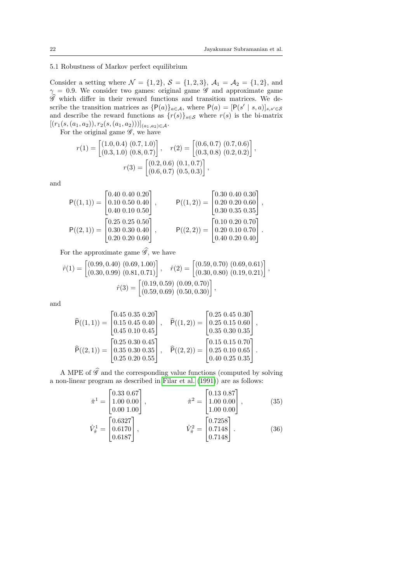## <span id="page-21-1"></span>5.1 Robustness of Markov perfect equilibrium

Consider a setting where  $\mathcal{N} = \{1, 2\}, \, \mathcal{S} = \{1, 2, 3\}, \, \mathcal{A}_1 = \mathcal{A}_2 = \{1, 2\}, \, \text{and}$  $\gamma = 0.9$ . We consider two games: original game  $\mathscr G$  and approximate game  $\mathscr G$  which differ in their reward functions and transition matrices. We describe the transition matrices as  $\{P(a)\}_{a\in\mathcal{A}}$ , where  $P(a) = [P(s' | s, a)]_{s,s'\in\mathcal{S}}$ and describe the reward functions as  $\{r(s)\}_{s\in\mathcal{S}}$  where  $r(s)$  is the bi-matrix  $[(r_1(s,(a_1,a_2)), r_2(s,(a_1,a_2))]_{(a_1,a_2)\in \mathcal{A}}.$ 

For the original game  $\mathscr{G}$ , we have

$$
r(1) = \begin{bmatrix} (1.0, 0.4) & (0.7, 1.0) \\ (0.3, 1.0) & (0.8, 0.7) \end{bmatrix}, \quad r(2) = \begin{bmatrix} (0.6, 0.7) & (0.7, 0.6) \\ (0.3, 0.8) & (0.2, 0.2) \end{bmatrix},
$$

$$
r(3) = \begin{bmatrix} (0.2, 0.6) & (0.1, 0.7) \\ (0.6, 0.7) & (0.5, 0.3) \end{bmatrix},
$$

and

$$
P((1,1)) = \begin{bmatrix} 0.40 & 0.40 & 0.20 \\ 0.10 & 0.50 & 0.40 \\ 0.40 & 0.10 & 0.50 \end{bmatrix}, \qquad P((1,2)) = \begin{bmatrix} 0.30 & 0.40 & 0.30 \\ 0.20 & 0.20 & 0.60 \\ 0.30 & 0.35 & 0.35 \end{bmatrix},
$$
  
\n
$$
P((2,1)) = \begin{bmatrix} 0.25 & 0.25 & 0.50 \\ 0.30 & 0.30 & 0.40 \\ 0.20 & 0.20 & 0.60 \end{bmatrix}, \qquad P((2,2)) = \begin{bmatrix} 0.10 & 0.20 & 0.70 \\ 0.20 & 0.10 & 0.70 \\ 0.40 & 0.20 & 0.40 \end{bmatrix}.
$$

For the approximate game  $\widehat{\mathscr{G}}$ , we have

$$
\hat{r}(1) = \begin{bmatrix} (0.99, 0.40) & (0.69, 1.00) \\ (0.30, 0.99) & (0.81, 0.71) \end{bmatrix}, \quad \hat{r}(2) = \begin{bmatrix} (0.59, 0.70) & (0.69, 0.61) \\ (0.30, 0.80) & (0.19, 0.21) \end{bmatrix},
$$
\n
$$
\hat{r}(3) = \begin{bmatrix} (0.19, 0.59) & (0.09, 0.70) \\ (0.59, 0.69) & (0.50, 0.30) \end{bmatrix},
$$

and

$$
\widehat{\mathsf{P}}((1,1)) = \begin{bmatrix} 0.45 & 0.35 & 0.20 \\ 0.15 & 0.45 & 0.40 \\ 0.45 & 0.10 & 0.45 \end{bmatrix}, \quad \widehat{\mathsf{P}}((1,2)) = \begin{bmatrix} 0.25 & 0.45 & 0.30 \\ 0.25 & 0.15 & 0.60 \\ 0.35 & 0.30 & 0.35 \end{bmatrix},
$$

$$
\widehat{\mathsf{P}}((2,1)) = \begin{bmatrix} 0.25 & 0.30 & 0.45 \\ 0.35 & 0.30 & 0.35 \\ 0.25 & 0.20 & 0.55 \end{bmatrix}, \quad \widehat{\mathsf{P}}((2,2)) = \begin{bmatrix} 0.15 & 0.15 & 0.70 \\ 0.25 & 0.10 & 0.65 \\ 0.40 & 0.25 & 0.35 \end{bmatrix}.
$$

A MPE of  $\hat{\mathscr{G}}$  and the corresponding value functions (computed by solving a non-linear program as described in [Filar et al.](#page-27-8) [\(1991\)](#page-27-8)) are as follows:

<span id="page-21-0"></span>
$$
\hat{\pi}^{1} = \begin{bmatrix} 0.33 & 0.67 \\ 1.00 & 0.00 \\ 0.00 & 1.00 \end{bmatrix}, \qquad \hat{\pi}^{2} = \begin{bmatrix} 0.13 & 0.87 \\ 1.00 & 0.00 \\ 1.00 & 0.00 \end{bmatrix}, \qquad (35)
$$

$$
\hat{V}_{\hat{\pi}}^{1} = \begin{bmatrix} 0.6327 \\ 0.6170 \\ 0.6187 \end{bmatrix}, \qquad \hat{V}_{\hat{\pi}}^{2} = \begin{bmatrix} 0.7258 \\ 0.7148 \\ 0.7148 \end{bmatrix}. \qquad (36)
$$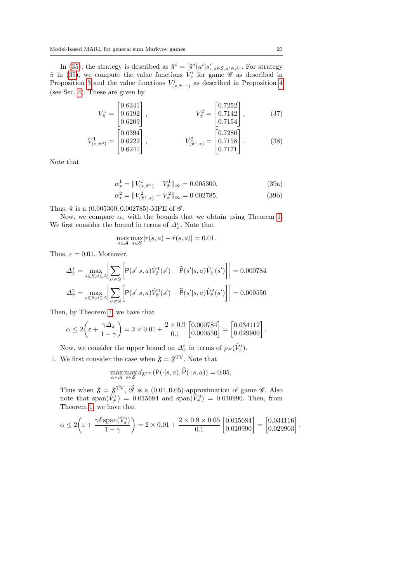In [\(35\)](#page-21-0), the strategy is described as  $\hat{\pi}^i = [\hat{\pi}^i(a^i|s)]_{s \in S, a^i \in A^i}$ . For strategy  $\hat{\pi}$  in [\(35\)](#page-21-0), we compute the value functions  $V^i_{\hat{\pi}}$  for game  $\mathscr G$  as described in Proposition [3](#page-16-1) and the value functions  $V^i_{(*,\hat{\pi}^{-i})}$  as described in Proposition [4](#page-16-2) (see Sec. [4\)](#page-16-0). These are given by

$$
V_{\hat{\pi}}^1 = \begin{bmatrix} 0.6341 \\ 0.6192 \\ 0.6209 \end{bmatrix}, \qquad V_{\hat{\pi}}^2 = \begin{bmatrix} 0.7252 \\ 0.7142 \\ 0.7154 \end{bmatrix}, \qquad (37)
$$

$$
V_{(*,\hat{\pi}^2)}^1 = \begin{bmatrix} 0.6394 \\ 0.6222 \\ 0.6241 \end{bmatrix}, \qquad V_{(\hat{\pi}^1,*)}^2 = \begin{bmatrix} 0.7280 \\ 0.7158 \\ 0.7171 \end{bmatrix}.
$$
 (38)

Note that

$$
\alpha_*^1 = \|V_{(*,\hat{\pi}^2)}^1 - V_{\hat{\pi}}^1\|_{\infty} = 0.005300,
$$
\n(39a)

$$
\alpha_*^2 = \|V_{(\hat{\pi}^1,*)}^2 - V_{\hat{\pi}}^2\|_{\infty} = 0.002785. \tag{39b}
$$

Thus,  $\hat{\pi}$  is a (0.005300, 0.002785)-MPE of  $\mathscr{G}$ .

Now, we compare  $\alpha_*$  with the bounds that we obtain using Theorem [1.](#page-8-2) We first consider the bound in terms of  $\Delta^i_{\hat{\pi}}$ . Note that

$$
\max_{a \in \mathcal{A}} \max_{s \in \mathcal{S}} |r(s, a) - \hat{r}(s, a)| = 0.01.
$$

Thus,  $\varepsilon = 0.01$ . Moreover,

$$
\Delta_{\hat{\pi}}^1 = \max_{s \in S, a \in A} \left| \sum_{s' \in S} \left[ P(s'|s, a) \hat{V}_{\hat{\pi}}^1(s') - \hat{P}(s'|s, a) \hat{V}_{\hat{\pi}}^1(s') \right] \right| = 0.000784
$$
  

$$
\Delta_{\hat{\pi}}^2 = \max_{s \in S, a \in A} \left| \sum_{s' \in S} \left[ P(s'|s, a) \hat{V}_{\hat{\pi}}^2(s') - \hat{P}(s'|s, a) \hat{V}_{\hat{\pi}}^2(s') \right] \right| = 0.000550
$$

Then, by Theorem [1,](#page-8-2) we have that

$$
\alpha \le 2\left(\varepsilon + \frac{\gamma \Delta_{\hat{\pi}}}{1 - \gamma}\right) = 2 \times 0.01 + \frac{2 \times 0.9}{0.1} \begin{bmatrix} 0.000784 \\ 0.000550 \end{bmatrix} = \begin{bmatrix} 0.034112 \\ 0.029900 \end{bmatrix}.
$$

Now, we consider the upper bound on  $\Delta^i_{\hat{\pi}}$  in terms of  $\rho_F(\hat{V}^i_{\hat{\pi}})$ .

1. We first consider the case when  $\mathfrak{F} = \mathfrak{F}^{\mathrm{TV}}$ . Note that

$$
\max_{a \in \mathcal{A}} \max_{s \in \mathcal{S}} d_{\mathfrak{F}^{\text{TV}}}(\mathsf{P}(\cdot | s, a), \mathsf{P}(\cdot | s, a)) = 0.05,
$$

Thus when  $\mathfrak{F} = \mathfrak{F}^{\mathrm{TV}}, \hat{\mathscr{G}}$  is a (0.01, 0.05)-approximation of game  $\mathscr{G}$ . Also note that span( $\hat{V}_{\hat{\pi}}^2$ ) = 0.015684 and span( $\hat{V}_{\hat{\pi}}^2$ ) = 0.010990. Then, from Theorem [1,](#page-8-2) we have that

$$
\alpha \le 2\left(\varepsilon + \frac{\gamma \delta \operatorname{span}(\hat{V}_{\hat{\pi}}^i)}{1 - \gamma}\right) = 2 \times 0.01 + \frac{2 \times 0.9 \times 0.05}{0.1} \begin{bmatrix} 0.015684 \\ 0.010990 \end{bmatrix} = \begin{bmatrix} 0.034116 \\ 0.029903 \end{bmatrix}.
$$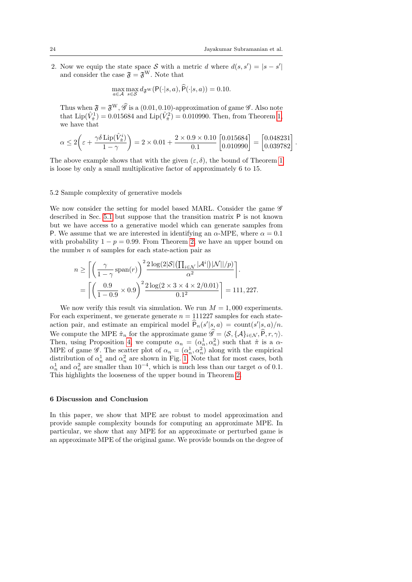2. Now we equip the state space S with a metric d where  $d(s, s') = |s - s'|$ and consider the case  $\mathfrak{F} = \mathfrak{F}^{\mathrm{W}}$ . Note that

$$
\max_{a \in \mathcal{A}} \max_{s \in \mathcal{S}} d_{\mathfrak{F}^{\mathcal{W}}}(\mathsf{P}(\cdot|s,a),\widehat{\mathsf{P}}(\cdot|s,a)) = 0.10.
$$

Thus when  $\mathfrak{F} = \mathfrak{F}^{W}, \hat{\mathscr{G}}$  is a (0.01, 0.10)-approximation of game  $\mathscr{G}$ . Also note that  $\text{Lip}(\hat{V}_{\hat{\pi}}^1) = 0.015684$  and  $\text{Lip}(\hat{V}_{\hat{\pi}}^2) = 0.010990$ . Then, from Theorem [1,](#page-8-2) we have that

$$
\alpha \le 2\left(\varepsilon + \frac{\gamma \delta \operatorname{Lip}(\hat{V}_{\hat{\pi}}^i)}{1-\gamma}\right) = 2 \times 0.01 + \frac{2 \times 0.9 \times 0.10}{0.1} \begin{bmatrix} 0.015684 \\ 0.010990 \end{bmatrix} = \begin{bmatrix} 0.048231 \\ 0.039782 \end{bmatrix}.
$$

The above example shows that with the given  $(\varepsilon, \delta)$ , the bound of Theorem [1](#page-8-2) is loose by only a small multiplicative factor of approximately 6 to 15.

#### 5.2 Sample complexity of generative models

We now consider the setting for model based MARL. Consider the game  $\mathscr G$ described in Sec. [5.1](#page-21-1) but suppose that the transition matrix P is not known but we have access to a generative model which can generate samples from P. We assume that we are interested in identifying an  $\alpha$ -MPE, where  $\alpha = 0.1$ with probability  $1 - p = 0.99$ . From Theorem [2,](#page-10-2) we have an upper bound on the number  $n$  of samples for each state-action pair as

$$
n \ge \left[ \left( \frac{\gamma}{1 - \gamma} \operatorname{span}(r) \right)^2 \frac{2 \log(2|\mathcal{S}| \left( \prod_{i \in \mathcal{N}} |\mathcal{A}^i| \right) |\mathcal{N}| | / p)}{\alpha^2} \right].
$$
  
= 
$$
\left[ \left( \frac{0.9}{1 - 0.9} \times 0.9 \right)^2 \frac{2 \log(2 \times 3 \times 4 \times 2/0.01)}{0.1^2} \right] = 111,227.
$$

We now verify this result via simulation. We run  $M = 1,000$  experiments. For each experiment, we generate generate  $n = 111227$  samples for each stateaction pair, and estimate an empirical model  $\widehat{P}_n(s'|s, a) = \text{count}(s'|s, a)/n$ . We compute the MPE  $\hat{\pi}_n$  for the approximate game  $\hat{\mathscr{G}} = \langle \mathcal{S}, \{\mathcal{A}\}_{i \in \mathcal{N}}, \hat{P}, r, \gamma \rangle$ . Then, using Proposition [4,](#page-16-2) we compute  $\alpha_n = (\alpha_n^1, \alpha_n^2)$  such that  $\hat{\pi}$  is a  $\alpha$ -MPE of game  $\mathscr{G}$ . The scatter plot of  $\alpha_n = (\alpha_n^1, \alpha_n^2)$  along with the empirical distribution of  $\alpha_n^1$  and  $\alpha_n^2$  are shown in Fig. [1.](#page-24-0) Note that for most cases, both  $\alpha_n^1$  and  $\alpha_n^2$  are smaller than  $10^{-4}$ , which is much less than our target  $\alpha$  of 0.1. This highlights the looseness of the upper bound in Theorem [2.](#page-10-2)

#### <span id="page-23-0"></span>6 Discussion and Conclusion

In this paper, we show that MPE are robust to model approximation and provide sample complexity bounds for computing an approximate MPE. In particular, we show that any MPE for an approximate or perturbed game is an approximate MPE of the original game. We provide bounds on the degree of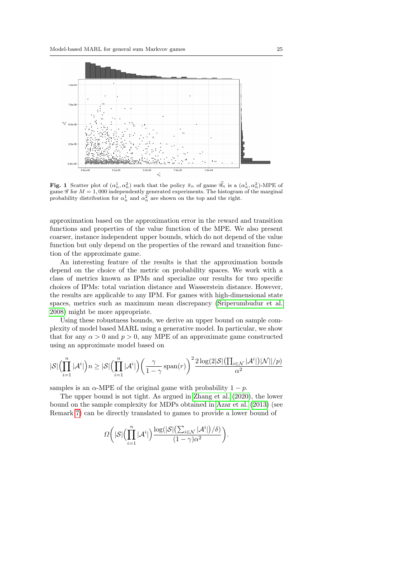

<span id="page-24-0"></span>Fig. 1 Scatter plot of  $(\alpha_n^1, \alpha_n^2)$  such that the policy  $\hat{\pi}_n$  of game  $\hat{\mathscr{G}}_n$  is a  $(\alpha_n^1, \alpha_n^2)$ -MPE of game  $\mathscr G$  for  $M=1,000$  independently generated experiments. The histogram of the marginal probability distribution for  $\alpha_n^1$  and  $\alpha_n^2$  are shown on the top and the right.

approximation based on the approximation error in the reward and transition functions and properties of the value function of the MPE. We also present coarser, instance independent upper bounds, which do not depend of the value function but only depend on the properties of the reward and transition function of the approximate game.

An interesting feature of the results is that the approximation bounds depend on the choice of the metric on probability spaces. We work with a class of metrics known as IPMs and specialize our results for two specific choices of IPMs: total variation distance and Wasserstein distance. However, the results are applicable to any IPM. For games with high-dimensional state spaces, metrics such as maximum mean discrepancy [\(Sriperumbudur et al.](#page-28-22) [2008\)](#page-28-22) might be more appropriate.

Using these robustness bounds, we derive an upper bound on sample complexity of model based MARL using a generative model. In particular, we show that for any  $\alpha > 0$  and  $p > 0$ , any MPE of an approximate game constructed using an approximate model based on

$$
|\mathcal{S}| \Bigl( \prod_{i=1}^n |\mathcal{A}^i| \Bigr) n \geq |\mathcal{S}| \Bigl( \prod_{i=1}^n |\mathcal{A}^i| \Bigr) \biggl( \frac{\gamma}{1-\gamma} \operatorname{span}(r) \biggr)^2 \frac{2 \log(2|\mathcal{S}| \bigl( \prod_{i \in \mathcal{N}} |\mathcal{A}^i| \bigr) |\mathcal{N}| | / p)}{\alpha^2}
$$

samples is an  $\alpha$ -MPE of the original game with probability  $1 - p$ .

The upper bound is not tight. As argued in [Zhang et al.](#page-28-13) [\(2020\)](#page-28-13), the lower bound on the sample complexity for MDPs obtained in [Azar et al.](#page-27-18) [\(2013\)](#page-27-18) (see Remark [7\)](#page-15-2) can be directly translated to games to provide a lower bound of

$$
\varOmega\bigg(|\mathcal{S}| \Bigl(\prod_{i=1}^n |\mathcal{A}^i|\Bigr)\frac{\log(|\mathcal{S}| \bigl(\sum_{i\in\mathcal{N}}|\mathcal{A}^i|\bigr)/\delta\bigr)}{(1-\gamma)\alpha^2}\bigg).
$$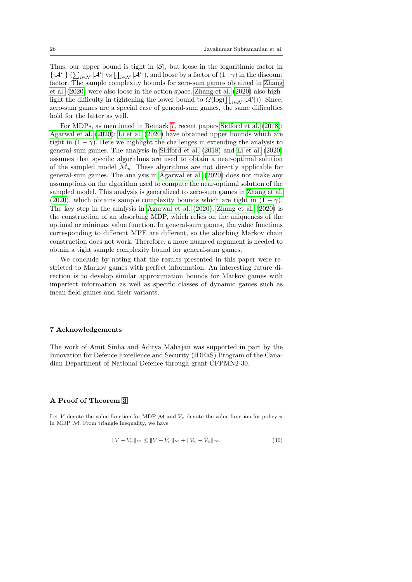Thus, our upper bound is tight in  $|\mathcal{S}|$ , but loose in the logarithmic factor in  $\{|\mathcal{A}^i|\}\left(\sum_{i\in\mathcal{N}}|\mathcal{A}^i|\right)$  vs  $\prod_{i\in\mathcal{N}}|\mathcal{A}^i|$ , and loose by a factor of  $(1-\gamma)$  in the discount factor. The sample complexity bounds for zero-sum games obtained in [Zhang](#page-28-13) [et al.](#page-28-13) [\(2020\)](#page-28-13) were also loose in the action space. [Zhang et al.](#page-28-13) [\(2020\)](#page-28-13) also highlight the difficulty in tightening the lower bound to  $\Omega(\log(\prod_{i\in\mathcal{N}}{|\mathcal{A}^i|}))$ . Since, zero-sum games are a special case of general-sum games, the same difficulties hold for the latter as well.

For MDPs, as mentioned in Remark [7,](#page-15-2) recent papers [Sidford et al.](#page-28-14) [\(2018\)](#page-28-14); [Agarwal et al.](#page-26-1) [\(2020\)](#page-26-1); [Li et al.](#page-27-19) [\(2020\)](#page-27-19) have obtained upper bounds which are tight in  $(1 - \gamma)$ . Here we highlight the challenges in extending the analysis to general-sum games. The analysis in [Sidford et al.](#page-28-14) [\(2018\)](#page-28-14) and [Li et al.](#page-27-19) [\(2020\)](#page-27-19) assumes that specific algorithms are used to obtain a near-optimal solution of the sampled model  $\mathcal{M}_n$ . These algorithms are not directly applicable for general-sum games. The analysis in [Agarwal et al.](#page-26-1) [\(2020\)](#page-26-1) does not make any assumptions on the algorithm used to compute the near-optimal solution of the sampled model. This analysis is generalized to zero-sum games in [Zhang et al.](#page-28-13) [\(2020\)](#page-28-13), which obtains sample complexity bounds which are tight in  $(1 - \gamma)$ . The key step in the analysis in [Agarwal et al.](#page-26-1) [\(2020\)](#page-26-1); [Zhang et al.](#page-28-13) [\(2020\)](#page-28-13) is the construction of an absorbing MDP, which relies on the uniqueness of the optimal or minimax value function. In general-sum games, the value functions corresponding to different MPE are different, so the aborbing Markov chain construction does not work. Therefore, a more nuanced argument is needed to obtain a tight sample complexity bound for general-sum games.

We conclude by noting that the results presented in this paper were restricted to Markov games with perfect information. An interesting future direction is to develop similar approximation bounds for Markov games with imperfect information as well as specific classes of dynamic games such as mean-field games and their variants.

#### 7 Acknowledgements

The work of Amit Sinha and Aditya Mahajan was supported in part by the Innovation for Defence Excellence and Security (IDEaS) Program of the Canadian Department of National Defence through grant CFPMN2-30.

#### <span id="page-25-0"></span>A Proof of Theorem [3](#page-12-0)

Let V denote the value function for MDP M and  $V_{\hat{\pi}}$  denote the value function for policy  $\hat{\pi}$ in MDP  $M$ . From triangle inequality, we have

<span id="page-25-1"></span>
$$
||V - V_{\hat{\pi}}||_{\infty} \le ||V - \hat{V}_{\hat{\pi}}||_{\infty} + ||V_{\hat{\pi}} - \hat{V}_{\hat{\pi}}||_{\infty}.
$$
\n(40)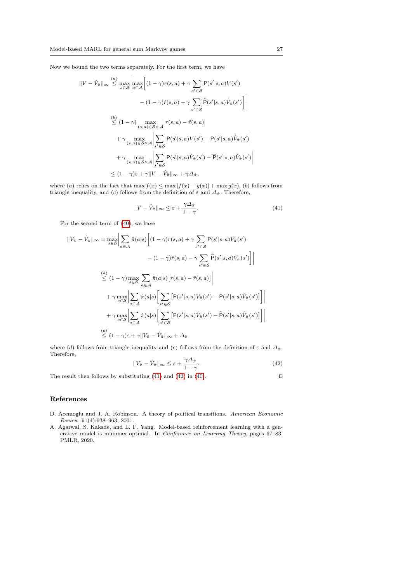Now we bound the two terms separately. For the first term, we have

$$
||V - \hat{V}_{\hat{\pi}}||_{\infty} \leq \max_{s \in S} \left| \max_{a \in \mathcal{A}} \left[ (1 - \gamma)r(s, a) + \gamma \sum_{s' \in \mathcal{S}} P(s'|s, a)V(s') - (1 - \gamma)\hat{r}(s, a) - \gamma \sum_{s' \in \mathcal{S}} \hat{P}(s'|s, a)\hat{V}_{\hat{\pi}}(s') \right] \right|
$$
  
\n
$$
\stackrel{(b)}{\leq} (1 - \gamma) \max_{(s, a) \in \mathcal{S} \times \mathcal{A}} \left| r(s, a) - \hat{r}(s, a) \right|
$$
  
\n
$$
+ \gamma \max_{(s, a) \in \mathcal{S} \times \mathcal{A}} \left| \sum_{s' \in \mathcal{S}} P(s'|s, a)V(s') - P(s'|s, a)\hat{V}_{\hat{\pi}}(s') \right|
$$
  
\n
$$
+ \gamma \max_{(s, a) \in \mathcal{S} \times \mathcal{A}} \left| \sum_{s' \in \mathcal{S}} P(s'|s, a)\hat{V}_{\hat{\pi}}(s') - \hat{P}(s'|s, a)\hat{V}_{\hat{\pi}}(s') \right|
$$
  
\n
$$
\leq (1 - \gamma)\varepsilon + \gamma ||V - \hat{V}_{\hat{\pi}}||_{\infty} + \gamma \Delta_{\hat{\pi}},
$$

where (a) relies on the fact that  $\max f(x) \leq \max |f(x) - g(x)| + \max g(x)$ , (b) follows from triangle inequality, and (c) follows from the definition of  $\varepsilon$  and  $\Delta_{\hat{\pi}}$ . Therefore,

<span id="page-26-2"></span>
$$
||V - \hat{V}_{\hat{\pi}}||_{\infty} \le \varepsilon + \frac{\gamma \Delta_{\hat{\pi}}}{1 - \gamma}.
$$
\n(41)

For the second term of [\(40\)](#page-25-1), we have

$$
||V_{\hat{\pi}} - \hat{V}_{\hat{\pi}}||_{\infty} = \max_{s \in S} \Big| \sum_{a \in A} \hat{\pi}(a|s) \Big[ (1 - \gamma)r(s, a) + \gamma \sum_{s' \in S} P(s'|s, a)V_{\hat{\pi}}(s') - (1 - \gamma)\hat{r}(s, a) - \gamma \sum_{s' \in S} \hat{P}(s'|s, a)\hat{V}_{\hat{\pi}}(s') \Big] \Big|
$$
  

$$
\stackrel{(d)}{\leq} (1 - \gamma) \max_{s \in S} \Big| \sum_{a \in A} \hat{\pi}(a|s) \Big[r(s, a) - \hat{r}(s, a)\Big] \Big|
$$
  

$$
+ \gamma \max_{s \in S} \Big| \sum_{a \in A} \hat{\pi}(a|s) \Big[ \sum_{s' \in S} \Big[P(s'|s, a)V_{\hat{\pi}}(s') - P(s'|s, a)\hat{V}_{\hat{\pi}}(s')\Big] \Big] \Big|
$$
  

$$
+ \gamma \max_{s \in S} \Big| \sum_{a \in A} \hat{\pi}(a|s) \Big[ \sum_{s' \in S} \Big[P(s'|s, a)\hat{V}_{\hat{\pi}}(s') - \hat{P}(s'|s, a)\hat{V}_{\hat{\pi}}(s')\Big] \Big|
$$
  

$$
\stackrel{(e)}{\leq} (1 - \gamma)\varepsilon + \gamma ||V_{\hat{\pi}} - \hat{V}_{\hat{\pi}}||_{\infty} + \Delta_{\hat{\pi}}
$$

where (d) follows from triangle inequality and (e) follows from the definition of  $\varepsilon$  and  $\Delta_{\hat{\pi}}$ . Therefore,

<span id="page-26-3"></span>
$$
||V_{\hat{\pi}} - \hat{V}_{\hat{\pi}}||_{\infty} \le \varepsilon + \frac{\gamma \Delta_{\hat{\pi}}}{1 - \gamma}.
$$
\n(42)

The result then follows by substituting [\(41\)](#page-26-2) and [\(42\)](#page-26-3) in [\(40\)](#page-25-1).  $\Box$ 

#### References

- <span id="page-26-0"></span>D. Acemoglu and J. A. Robinson. A theory of political transitions. American Economic Review, 91(4):938–963, 2001.
- <span id="page-26-1"></span>A. Agarwal, S. Kakade, and L. F. Yang. Model-based reinforcement learning with a generative model is minimax optimal. In *Conference on Learning Theory*, pages 67–83. PMLR, 2020.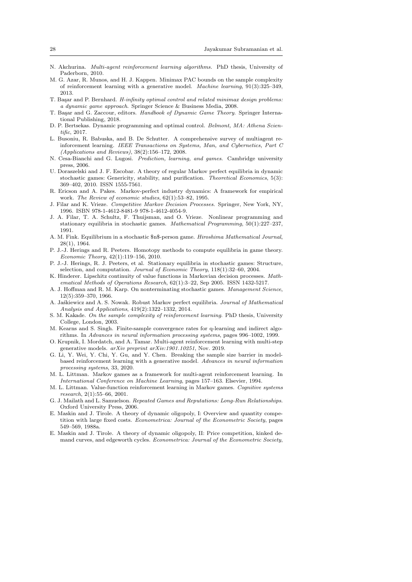- <span id="page-27-14"></span>N. Akchurina. Multi-agent reinforcement learning algorithms. PhD thesis, University of Paderborn, 2010.
- <span id="page-27-18"></span>M. G. Azar, R. Munos, and H. J. Kappen. Minimax PAC bounds on the sample complexity of reinforcement learning with a generative model. Machine learning, 91(3):325–349, 2013.
- <span id="page-27-20"></span>T. Başar and P. Bernhard. H-infinity optimal control and related minimax design problems: a dynamic game approach. Springer Science & Business Media, 2008.
- <span id="page-27-1"></span>T. Başar and G. Zaccour, editors. Handbook of Dynamic Game Theory. Springer International Publishing, 2018.
- <span id="page-27-23"></span>D. P. Bertsekas. Dynamic programming and optimal control. Belmont, MA: Athena Scientific, 2017.
- <span id="page-27-12"></span>L. Busoniu, R. Babuska, and B. De Schutter. A comprehensive survey of multiagent reinforcement learning. IEEE Transactions on Systems, Man, and Cybernetics, Part C (Applications and Reviews), 38(2):156–172, 2008.
- <span id="page-27-25"></span>N. Cesa-Bianchi and G. Lugosi. Prediction, learning, and games. Cambridge university press, 2006.
- <span id="page-27-22"></span>U. Doraszelski and J. F. Escobar. A theory of regular Markov perfect equilibria in dynamic stochastic games: Genericity, stability, and purification. Theoretical Economics, 5(3): 369–402, 2010. ISSN 1555-7561.
- <span id="page-27-0"></span>R. Ericson and A. Pakes. Markov-perfect industry dynamics: A framework for empirical work. The Review of economic studies, 62(1):53–82, 1995.
- <span id="page-27-2"></span>J. Filar and K. Vrieze. Competitive Markov Decision Processes. Springer, New York, NY, 1996. ISBN 978-1-4612-8481-9 978-1-4612-4054-9.
- <span id="page-27-8"></span>J. A. Filar, T. A. Schultz, F. Thuijsman, and O. Vrieze. Nonlinear programming and stationary equilibria in stochastic games. Mathematical Programming, 50(1):227–237, 1991.
- <span id="page-27-7"></span>A. M. Fink. Equilibrium in a stochastic \$n\$-person game. Hiroshima Mathematical Journal, 28(1), 1964.
- <span id="page-27-10"></span>P. J.-J. Herings and R. Peeters. Homotopy methods to compute equilibria in game theory. Economic Theory, 42(1):119–156, 2010.
- <span id="page-27-9"></span>P. J.-J. Herings, R. J. Peeters, et al. Stationary equilibria in stochastic games: Structure, selection, and computation. Journal of Economic Theory, 118(1):32–60, 2004.
- <span id="page-27-24"></span>K. Hinderer. Lipschitz continuity of value functions in Markovian decision processes. Mathematical Methods of Operations Research, 62(1):3–22, Sep 2005. ISSN 1432-5217.
- <span id="page-27-6"></span>A. J. Hoffman and R. M. Karp. On nonterminating stochastic games. Management Science, 12(5):359–370, 1966.
- <span id="page-27-21"></span>A. Jaskiewicz and A. S. Nowak. Robust Markov perfect equilibria. Journal of Mathematical Analysis and Applications, 419(2):1322–1332, 2014.
- <span id="page-27-17"></span>S. M. Kakade. On the sample complexity of reinforcement learning. PhD thesis, University College, London, 2003.
- <span id="page-27-16"></span>M. Kearns and S. Singh. Finite-sample convergence rates for q-learning and indirect algorithms. In Advances in neural information processing systems, pages 996–1002, 1999.
- <span id="page-27-15"></span>O. Krupnik, I. Mordatch, and A. Tamar. Multi-agent reinforcement learning with multi-step generative models. arXiv preprint arXiv:1901.10251, Nov. 2019.
- <span id="page-27-19"></span>G. Li, Y. Wei, Y. Chi, Y. Gu, and Y. Chen. Breaking the sample size barrier in modelbased reinforcement learning with a generative model. Advances in neural information processing systems, 33, 2020.
- <span id="page-27-11"></span>M. L. Littman. Markov games as a framework for multi-agent reinforcement learning. In International Conference on Machine Learning, pages 157–163. Elsevier, 1994.
- <span id="page-27-13"></span>M. L. Littman. Value-function reinforcement learning in Markov games. Cognitive systems research, 2(1):55–66, 2001.
- <span id="page-27-5"></span>G. J. Mailath and L. Samuelson. Repeated Games and Reputations: Long-Run Relationships. Oxford University Press, 2006.
- <span id="page-27-3"></span>E. Maskin and J. Tirole. A theory of dynamic oligopoly, I: Overview and quantity competition with large fixed costs. Econometrica: Journal of the Econometric Society, pages 549–569, 1988a.
- <span id="page-27-4"></span>E. Maskin and J. Tirole. A theory of dynamic oligopoly, II: Price competition, kinked demand curves, and edgeworth cycles. Econometrica: Journal of the Econometric Society,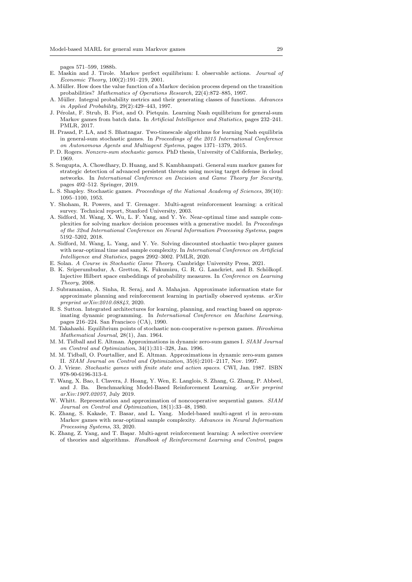pages 571–599, 1988b.

- <span id="page-28-2"></span>E. Maskin and J. Tirole. Markov perfect equilibrium: I. observable actions. Journal of Economic Theory, 100(2):191–219, 2001.
- <span id="page-28-15"></span>A. Müller. How does the value function of a Markov decision process depend on the transition probabilities? Mathematics of Operations Research, 22(4):872–885, 1997.
- <span id="page-28-20"></span>A. Müller. Integral probability metrics and their generating classes of functions. Advances in Applied Probability, 29(2):429–443, 1997.
- <span id="page-28-8"></span>J. Pérolat, F. Strub, B. Piot, and O. Pietquin. Learning Nash equilibrium for general-sum Markov games from batch data. In Artificial Intelligence and Statistics, pages 232–241. PMLR, 2017.
- <span id="page-28-9"></span>H. Prasad, P. LA, and S. Bhatnagar. Two-timescale algorithms for learning Nash equilibria in general-sum stochastic games. In Proceedings of the 2015 International Conference on Autonomous Agents and Multiagent Systems, pages 1371–1379, 2015.
- <span id="page-28-4"></span>P. D. Rogers. Nonzero-sum stochastic games. PhD thesis, University of California, Berkeley, 1969.
- <span id="page-28-0"></span>S. Sengupta, A. Chowdhary, D. Huang, and S. Kambhampati. General sum markov games for strategic detection of advanced persistent threats using moving target defense in cloud networks. In International Conference on Decision and Game Theory for Security, pages 492–512. Springer, 2019.
- <span id="page-28-1"></span>L. S. Shapley. Stochastic games. Proceedings of the National Academy of Sciences, 39(10): 1095–1100, 1953.
- <span id="page-28-7"></span>Y. Shoham, R. Powers, and T. Grenager. Multi-agent reinforcement learning: a critical survey. Technical report, Stanford University, 2003.
- <span id="page-28-14"></span>A. Sidford, M. Wang, X. Wu, L. F. Yang, and Y. Ye. Near-optimal time and sample complexities for solving markov decision processes with a generative model. In Proceedings of the 32nd International Conference on Neural Information Processing Systems, pages 5192–5202, 2018.
- <span id="page-28-12"></span>A. Sidford, M. Wang, L. Yang, and Y. Ye. Solving discounted stochastic two-player games with near-optimal time and sample complexity. In International Conference on Artificial Intelligence and Statistics, pages 2992–3002. PMLR, 2020.
- <span id="page-28-18"></span>E. Solan. A Course in Stochastic Game Theory. Cambridge University Press, 2021.
- <span id="page-28-22"></span>B. K. Sriperumbudur, A. Gretton, K. Fukumizu, G. R. G. Lanckriet, and B. Schölkopf. Injective Hilbert space embeddings of probability measures. In Conference on Learning Theory, 2008.
- <span id="page-28-21"></span>J. Subramanian, A. Sinha, R. Seraj, and A. Mahajan. Approximate information state for approximate planning and reinforcement learning in partially observed systems.  $arXiv$ preprint arXiv:2010.08843, 2020.
- <span id="page-28-10"></span>R. S. Sutton. Integrated architectures for learning, planning, and reacting based on approximating dynamic programming. In International Conference on Machine Learning, pages 216–224. San Francisco (CA), 1990.
- <span id="page-28-3"></span>M. Takahashi. Equilibrium points of stochastic non-cooperative n-person games. Hiroshima Mathematical Journal, 28(1), Jan. 1964.
- <span id="page-28-16"></span>M. M. Tidball and E. Altman. Approximations in dynamic zero-sum games I. SIAM Journal on Control and Optimization, 34(1):311–328, Jan. 1996.
- <span id="page-28-17"></span>M. M. Tidball, O. Pourtallier, and E. Altman. Approximations in dynamic zero-sum games II. SIAM Journal on Control and Optimization, 35(6):2101–2117, Nov. 1997.
- <span id="page-28-5"></span>O. J. Vrieze. Stochastic games with finite state and action spaces. CWI, Jan. 1987. ISBN 978-90-6196-313-4.
- <span id="page-28-11"></span>T. Wang, X. Bao, I. Clavera, J. Hoang, Y. Wen, E. Langlois, S. Zhang, G. Zhang, P. Abbeel, and J. Ba. Benchmarking Model-Based Reinforcement Learning. arXiv preprint arXiv:1907.02057, July 2019.
- <span id="page-28-19"></span>W. Whitt. Representation and approximation of noncooperative sequential games. SIAM Journal on Control and Optimization, 18(1):33–48, 1980.
- <span id="page-28-13"></span>K. Zhang, S. Kakade, T. Basar, and L. Yang. Model-based multi-agent rl in zero-sum Markov games with near-optimal sample complexity. Advances in Neural Information Processing Systems, 33, 2020.
- <span id="page-28-6"></span>K. Zhang, Z. Yang, and T. Başar. Multi-agent reinforcement learning: A selective overview of theories and algorithms. Handbook of Reinforcement Learning and Control, pages